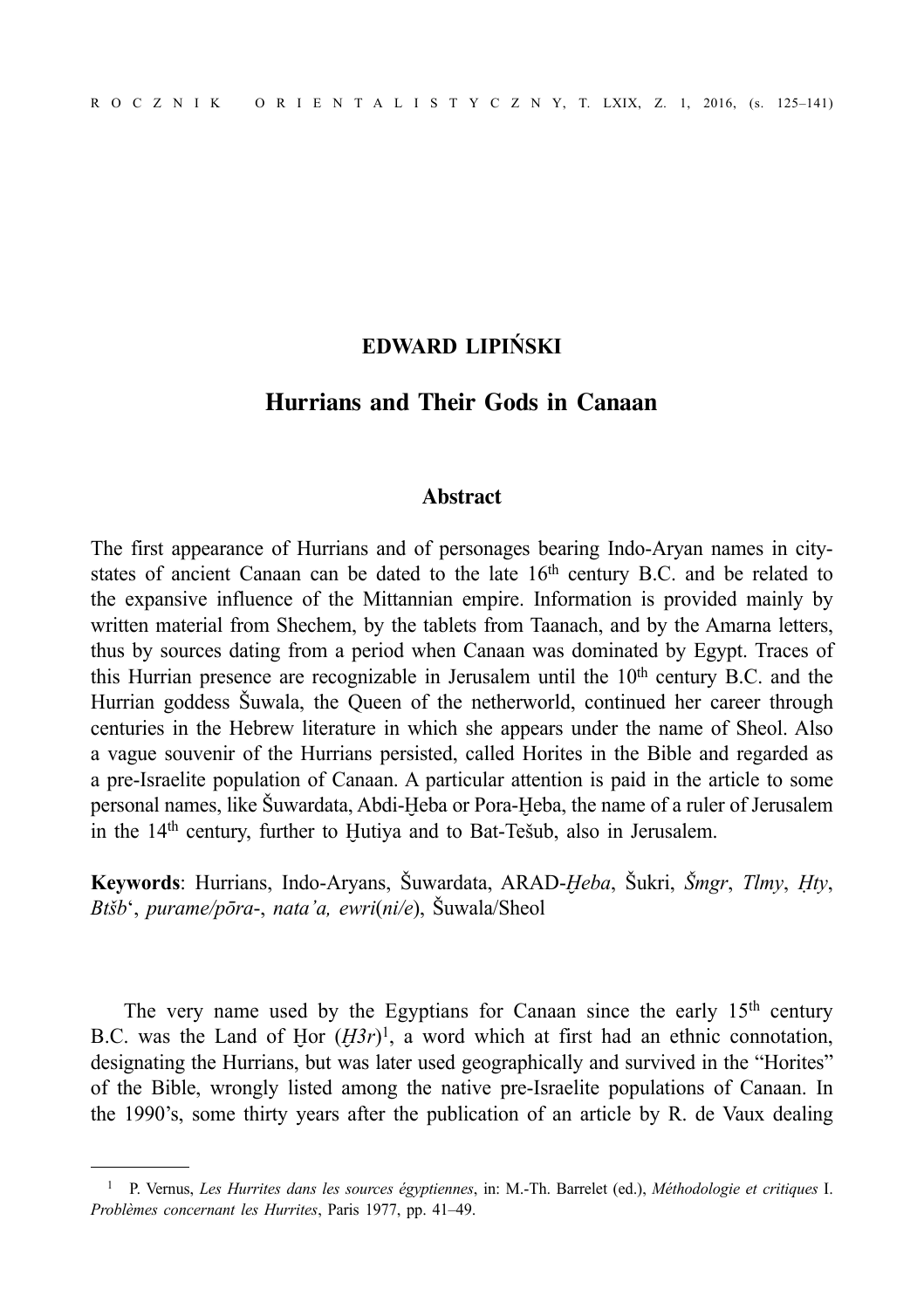# **EDWARD LIPIŃSKI**

# **Hurrians and Their Gods in Canaan**

### **Abstract**

The first appearance of Hurrians and of personages bearing Indo-Aryan names in citystates of ancient Canaan can be dated to the late  $16<sup>th</sup>$  century B.C. and be related to the expansive influence of the Mittannian empire. Information is provided mainly by written material from Shechem, by the tablets from Taanach, and by the Amarna letters, thus by sources dating from a period when Canaan was dominated by Egypt. Traces of this Hurrian presence are recognizable in Jerusalem until the  $10<sup>th</sup>$  century B.C. and the Hurrian goddess Šuwala, the Queen of the netherworld, continued her career through centuries in the Hebrew literature in which she appears under the name of Sheol. Also a vague souvenir of the Hurrians persisted, called Horites in the Bible and regarded as a pre-Israelite population of Canaan. A particular attention is paid in the article to some personal names, like Šuwardata, Abdi-Ḫeba or Pora-Ḫeba, the name of a ruler of Jerusalem in the 14<sup>th</sup> century, further to Hutiya and to Bat-Tešub, also in Jerusalem.

**Keywords**: Hurrians, Indo-Aryans, Šuwardata, ARAD-*Ḫeba*, Šukri, *Šmgr*, *Tlmy*, *Ḥty*, *Btšb*', *purame/pōra*-, *nata'a, ewri*(*ni/e*), Šuwala/Sheol

The very name used by the Egyptians for Canaan since the early 15<sup>th</sup> century B.C. was the Land of Hor  $(H3r)^1$ , a word which at first had an ethnic connotation, designating the Hurrians, but was later used geographically and survived in the "Horites" of the Bible, wrongly listed among the native pre-Israelite populations of Canaan. In the 1990's, some thirty years after the publication of an article by R. de Vaux dealing

<sup>1</sup> P. Vernus, *Les Hurrites dans les sources égyptiennes*, in: M.-Th. Barrelet (ed.), *Méthodologie et critiques* I. *Problèmes concernant les Hurrites*, Paris 1977, pp. 41–49.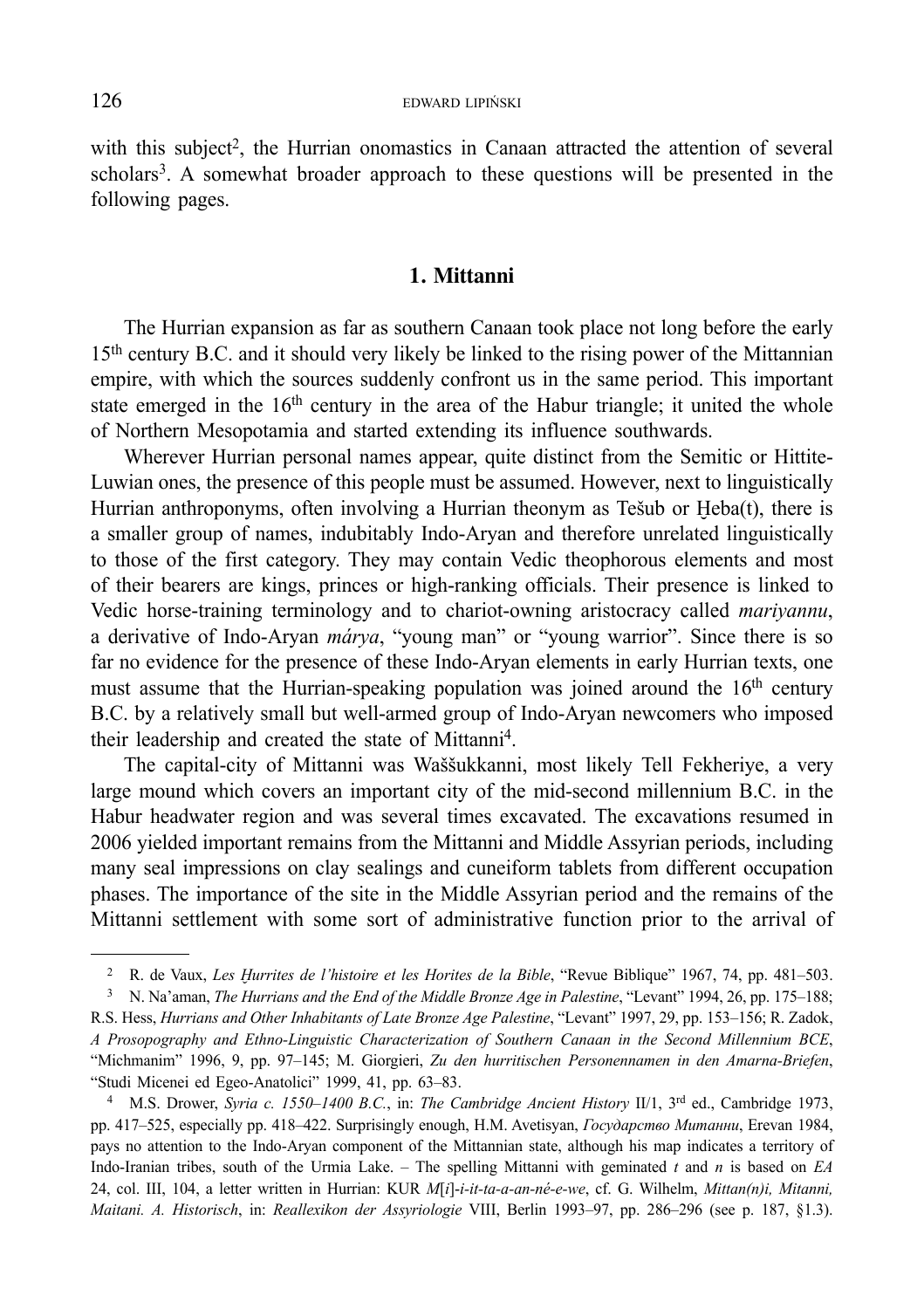with this subject<sup>2</sup>, the Hurrian onomastics in Canaan attracted the attention of several scholars<sup>3</sup>. A somewhat broader approach to these questions will be presented in the following pages.

### **1. Mittanni**

The Hurrian expansion as far as southern Canaan took place not long before the early 15th century B.C. and it should very likely be linked to the rising power of the Mittannian empire, with which the sources suddenly confront us in the same period. This important state emerged in the  $16<sup>th</sup>$  century in the area of the Habur triangle; it united the whole of Northern Mesopotamia and started extending its influence southwards.

Wherever Hurrian personal names appear, quite distinct from the Semitic or Hittite-Luwian ones, the presence of this people must be assumed. However, next to linguistically Hurrian anthroponyms, often involving a Hurrian theonym as Tešub or  $Heba(t)$ , there is a smaller group of names, indubitably Indo-Aryan and therefore unrelated linguistically to those of the first category. They may contain Vedic theophorous elements and most of their bearers are kings, princes or high-ranking officials. Their presence is linked to Vedic horse-training terminology and to chariot-owning aristocracy called *mariyannu*, a derivative of Indo-Aryan *márya*, "young man" or "young warrior". Since there is so far no evidence for the presence of these Indo-Aryan elements in early Hurrian texts, one must assume that the Hurrian-speaking population was joined around the  $16<sup>th</sup>$  century B.C. by a relatively small but well-armed group of Indo-Aryan newcomers who imposed their leadership and created the state of Mittanni4.

The capital-city of Mittanni was Waššukkanni, most likely Tell Fekheriye, a very large mound which covers an important city of the mid-second millennium B.C. in the Habur headwater region and was several times excavated. The excavations resumed in 2006 yielded important remains from the Mittanni and Middle Assyrian periods, including many seal impressions on clay sealings and cuneiform tablets from different occupation phases. The importance of the site in the Middle Assyrian period and the remains of the Mittanni settlement with some sort of administrative function prior to the arrival of

4 M.S. Drower, *Syria c. 1550–1400 B.C.*, in: *The Cambridge Ancient History* II/1, 3rd ed., Cambridge 1973, pp. 417–525, especially pp. 418–422. Surprisingly enough, H.M. Avetisyan, *Государство Митанни*, Erevan 1984, pays no attention to the Indo-Aryan component of the Mittannian state, although his map indicates a territory of Indo-Iranian tribes, south of the Urmia Lake. – The spelling Mittanni with geminated *t* and *n* is based on *EA* 24, col. III, 104, a letter written in Hurrian: KUR *M*[*i*]-*i-it-ta-a-an-né-e-we*, cf. G. Wilhelm, *Mittan(n)i, Mitanni, Maitani. A. Historisch*, in: *Reallexikon der Assyriologie* VIII, Berlin 1993–97, pp. 286–296 (see p. 187, §1.3).

<sup>2</sup> R. de Vaux, *Les Ḫurrites de l'histoire et les Horites de la Bible*, "Revue Biblique" 1967, 74, pp. 481–503.

<sup>3</sup> N. Na'aman, *The Hurrians and the End of the Middle Bronze Age in Palestine*, "Levant" 1994, 26, pp. 175–188; R.S. Hess, *Hurrians and Other Inhabitants of Late Bronze Age Palestine*, "Levant" 1997, 29, pp. 153–156; R. Zadok, *A Prosopography and Ethno-Linguistic Characterization of Southern Canaan in the Second Millennium BCE*, "Michmanim" 1996, 9, pp. 97–145; M. Giorgieri, *Zu den hurritischen Personennamen in den Amarna-Briefen*, "Studi Micenei ed Egeo-Anatolici" 1999, 41, pp. 63–83.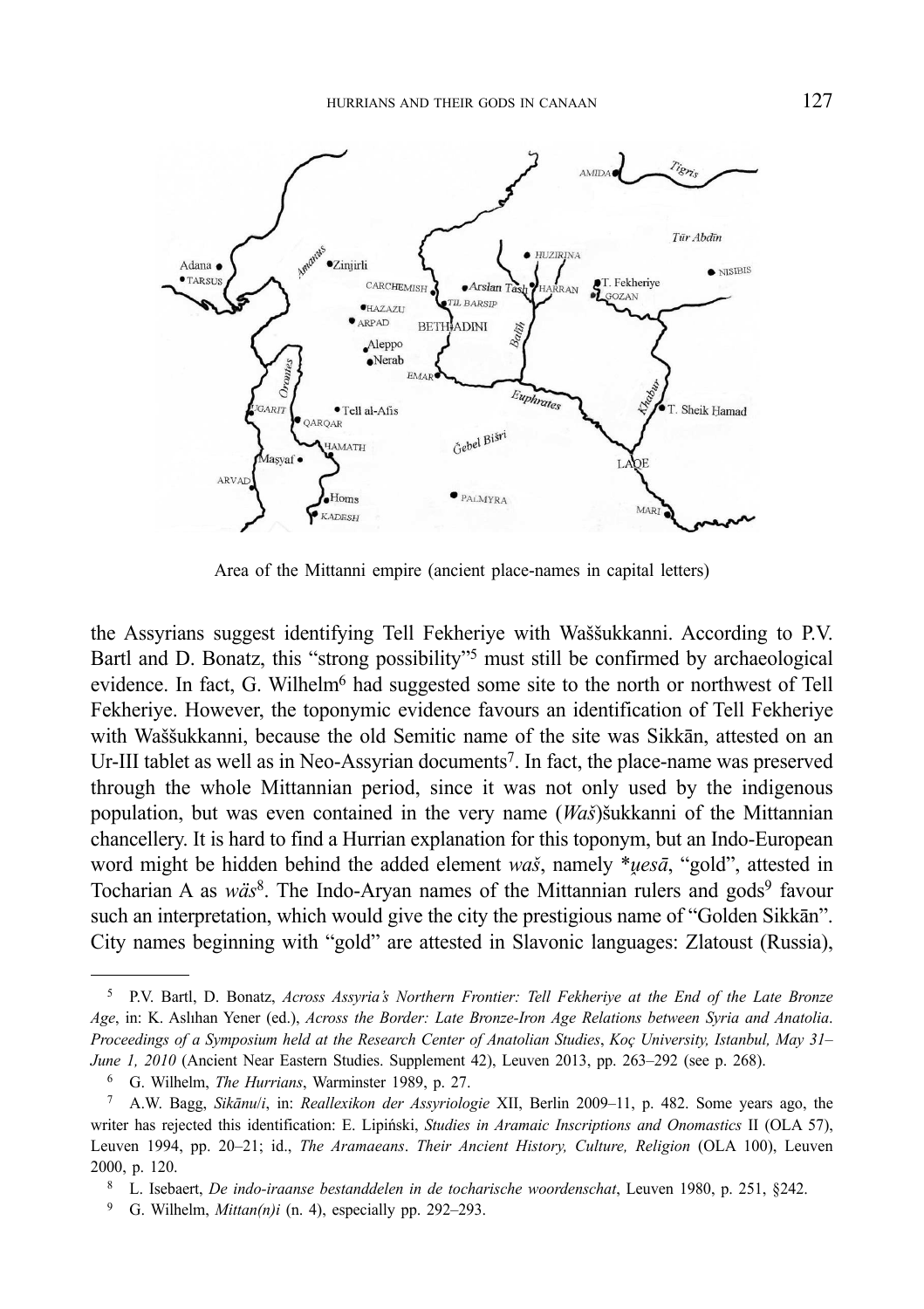

Area of the Mittanni empire (ancient place-names in capital letters)

the Assyrians suggest identifying Tell Fekheriye with Waššukkanni. According to P.V. Bartl and D. Bonatz, this "strong possibility"<sup>5</sup> must still be confirmed by archaeological evidence. In fact, G. Wilhelm<sup>6</sup> had suggested some site to the north or northwest of Tell Fekheriye. However, the toponymic evidence favours an identification of Tell Fekheriye with Waššukkanni, because the old Semitic name of the site was Sikkān, attested on an Ur-III tablet as well as in Neo-Assyrian documents<sup>7</sup>. In fact, the place-name was preserved through the whole Mittannian period, since it was not only used by the indigenous population, but was even contained in the very name (*Waš*)šukkanni of the Mittannian chancellery. It is hard to find a Hurrian explanation for this toponym, but an Indo-European word might be hidden behind the added element *waš*, namely \**uesā*, "gold", attested in Tocharian A as *wäs*<sup>8</sup>. The Indo-Aryan names of the Mittannian rulers and gods<sup>9</sup> favour such an interpretation, which would give the city the prestigious name of "Golden Sikkān". City names beginning with "gold" are attested in Slavonic languages: Zlatoust (Russia),

- 8 L. Isebaert, *De indo-iraanse bestanddelen in de tocharische woordenschat*, Leuven 1980, p. 251, §242.
- 9 G. Wilhelm, *Mittan(n)i* (n. 4), especially pp. 292–293.

<sup>5</sup> P.V. Bartl, D. Bonatz, *Across Assyria's Northern Frontier: Tell Fekheriye at the End of the Late Bronze Age*, in: K. Aslıhan Yener (ed.), *Across the Border: Late Bronze-Iron Age Relations between Syria and Anatolia*. *Proceedings of a Symposium held at the Research Center of Anatolian Studies*, *Koç University, Istanbul, May 31– June 1, 2010* (Ancient Near Eastern Studies. Supplement 42), Leuven 2013, pp. 263–292 (see p. 268).

<sup>6</sup> G. Wilhelm, *The Hurrians*, Warminster 1989, p. 27.

<sup>7</sup> A.W. Bagg, *Sikānu*/*i*, in: *Reallexikon der Assyriologie* XII, Berlin 2009–11, p. 482. Some years ago, the writer has rejected this identification: E. Lipiński, *Studies in Aramaic Inscriptions and Onomastics* II (OLA 57), Leuven 1994, pp. 20–21; id., *The Aramaeans*. *Their Ancient History, Culture, Religion* (OLA 100), Leuven 2000, p. 120.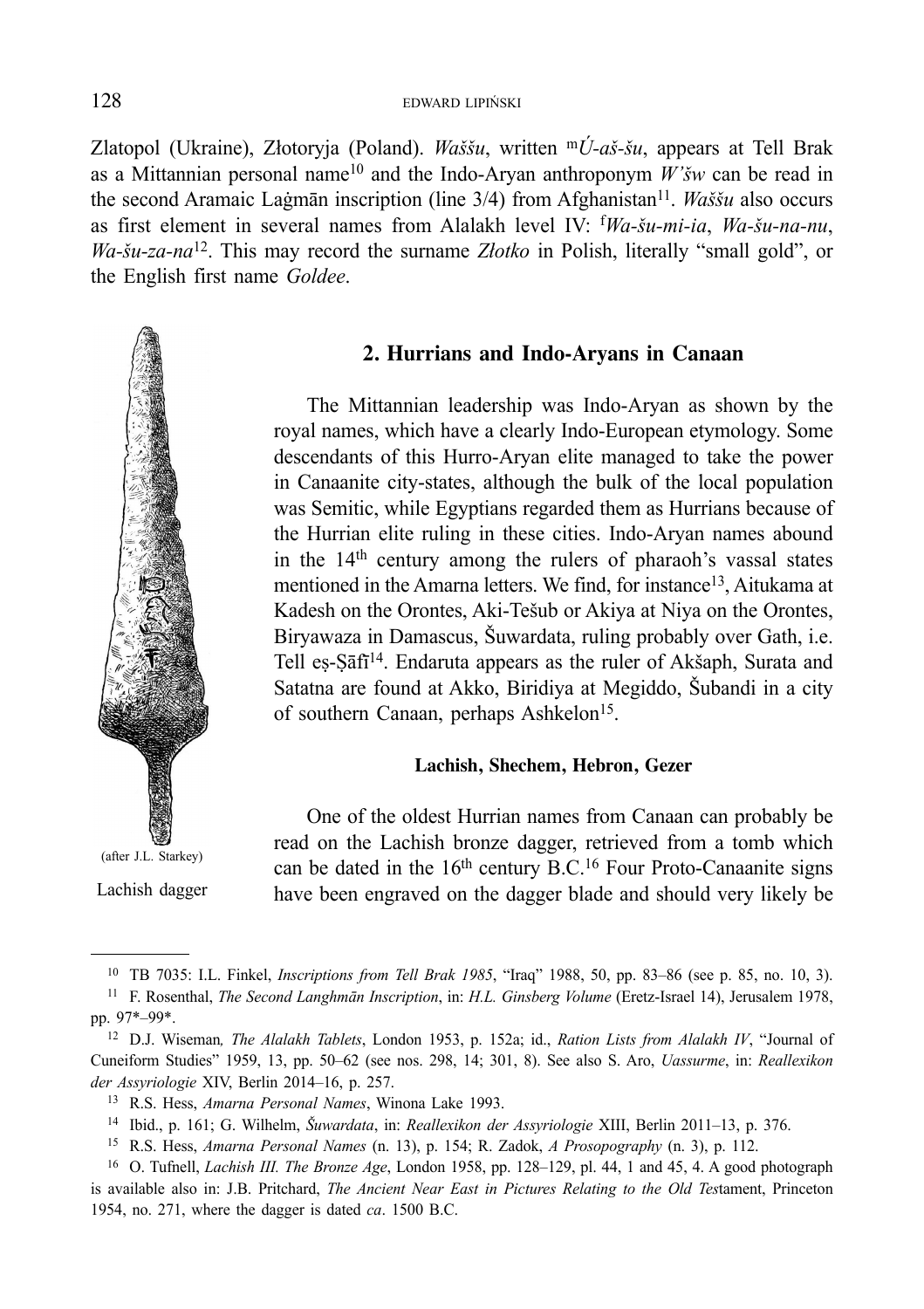Zlatopol (Ukraine), Złotoryja (Poland). *Waššu*, written m*Ú-aš-šu*, appears at Tell Brak as a Mittannian personal name10 and the Indo-Aryan anthroponym *W'šw* can be read in the second Aramaic Laġmān inscription (line 3/4) from Afghanistan11. *Waššu* also occurs as first element in several names from Alalakh level IV: f *Wa-šu-mi-ia*, *Wa-šu-na-nu*, *Wa-šu-za-na*12. This may record the surname *Złotko* in Polish, literally "small gold", or the English first name *Goldee*.



(after J.L. Starkey)

Lachish dagger

### **2. Hurrians and Indo-Aryans in Canaan**

The Mittannian leadership was Indo-Aryan as shown by the royal names, which have a clearly Indo-European etymology. Some descendants of this Hurro-Aryan elite managed to take the power in Canaanite city-states, although the bulk of the local population was Semitic, while Egyptians regarded them as Hurrians because of the Hurrian elite ruling in these cities. Indo-Aryan names abound in the 14th century among the rulers of pharaoh's vassal states mentioned in the Amarna letters. We find, for instance<sup>13</sup>, Aitukama at Kadesh on the Orontes, Aki-Tešub or Akiya at Niya on the Orontes, Biryawaza in Damascus, Šuwardata, ruling probably over Gath, i.e. Tell eṣ-Ṣāfī<sup>14</sup>. Endaruta appears as the ruler of Akšaph, Surata and Satatna are found at Akko, Biridiya at Megiddo, Šubandi in a city of southern Canaan, perhaps Ashkelon<sup>15</sup>.

#### **Lachish, Shechem, Hebron, Gezer**

One of the oldest Hurrian names from Canaan can probably be read on the Lachish bronze dagger, retrieved from a tomb which can be dated in the  $16<sup>th</sup>$  century B.C.<sup>16</sup> Four Proto-Canaanite signs have been engraved on the dagger blade and should very likely be

<sup>10</sup> TB 7035: I.L. Finkel, *Inscriptions from Tell Brak 1985*, "Iraq" 1988, 50, pp. 83–86 (see p. 85, no. 10, 3).

<sup>11</sup> F. Rosenthal, *The Second Langhmān Inscription*, in: *H.L. Ginsberg Volume* (Eretz-Israel 14), Jerusalem 1978, pp. 97\*–99\*. 12 D.J. Wiseman*, The Alalakh Tablets*, London 1953, p. 152a; id., *Ration Lists from Alalakh IV*, "Journal of

Cuneiform Studies" 1959, 13, pp. 50–62 (see nos. 298, 14; 301, 8). See also S. Aro, *Uassurme*, in: *Reallexikon der Assyriologie* XIV, Berlin 2014–16, p. 257.

<sup>13</sup> R.S. Hess, *Amarna Personal Names*, Winona Lake 1993.

<sup>14</sup> Ibid., p. 161; G. Wilhelm, *Šuwardata*, in: *Reallexikon der Assyriologie* XIII, Berlin 2011–13, p. 376.

<sup>15</sup> R.S. Hess, *Amarna Personal Names* (n. 13), p. 154; R. Zadok, *A Prosopography* (n. 3), p. 112. 16 O. Tufnell, *Lachish III. The Bronze Age*, London 1958, pp. 128–129, pl. 44, 1 and 45, 4. A good photograph

is available also in: J.B. Pritchard, *The Ancient Near East in Pictures Relating to the Old Tes*tament, Princeton 1954, no. 271, where the dagger is dated *ca*. 1500 B.C.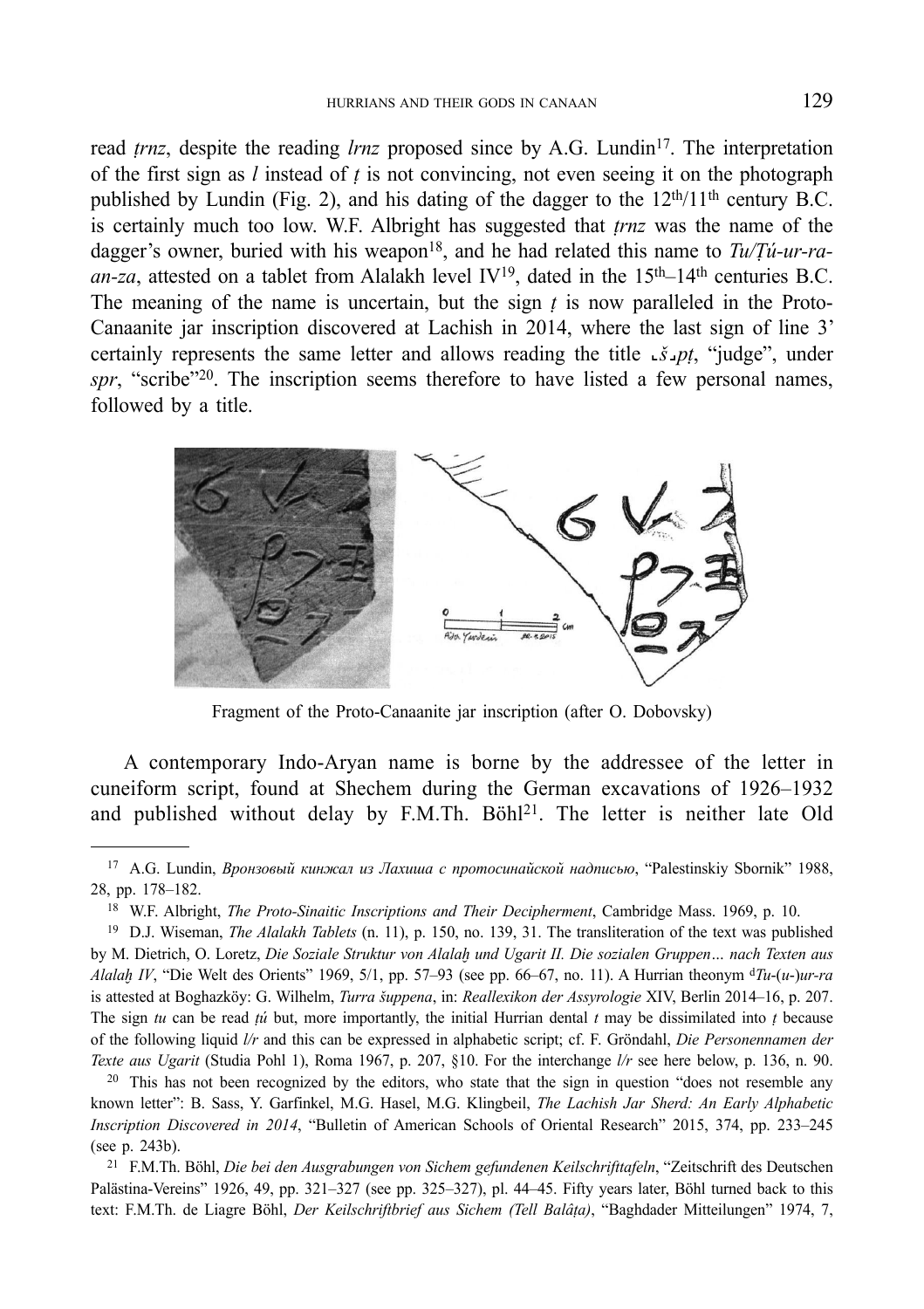read *trnz*, despite the reading *lrnz* proposed since by A.G. Lundin<sup>17</sup>. The interpretation of the first sign as *l* instead of *ṭ* is not convincing, not even seeing it on the photograph published by Lundin (Fig. 2), and his dating of the dagger to the  $12<sup>th</sup>/11<sup>th</sup>$  century B.C. is certainly much too low. W.F. Albright has suggested that *ṭrnz* was the name of the dagger's owner, buried with his weapon<sup>18</sup>, and he had related this name to *Tu/Tu-ur-ra*an-za, attested on a tablet from Alalakh level  $IV^{19}$ , dated in the 15<sup>th</sup>–14<sup>th</sup> centuries B.C. The meaning of the name is uncertain, but the sign  *is now paralleled in the Proto-*Canaanite jar inscription discovered at Lachish in 2014, where the last sign of line 3' certainly represents the same letter and allows reading the title **˻***š***˼***pṭ*, "judge", under spr, "scribe"<sup>20</sup>. The inscription seems therefore to have listed a few personal names, followed by a title.



Fragment of the Proto-Canaanite jar inscription (after O. Dobovsky)

A contemporary Indo-Aryan name is borne by the addressee of the letter in cuneiform script, found at Shechem during the German excavations of 1926–1932 and published without delay by F.M.Th. Böhl<sup>21</sup>. The letter is neither late Old

<sup>17</sup> A.G. Lundin, *Вронзовый кинжал из Лахиша с протосинайской надписью*, "Palestinskiy Sbornik" 1988, 28, pp. 178–182.

<sup>18</sup> W.F. Albright, *The Proto-Sinaitic Inscriptions and Their Decipherment*, Cambridge Mass. 1969, p. 10.

<sup>19</sup> D.J. Wiseman, *The Alalakh Tablets* (n. 11), p. 150, no. 139, 31. The transliteration of the text was published by M. Dietrich, O. Loretz, *Die Soziale Struktur von Alalaḫ und Ugarit II. Die sozialen Gruppen… nach Texten aus Alalaḫ IV*, "Die Welt des Orients" 1969, 5/1, pp. 57–93 (see pp. 66–67, no. 11). A Hurrian theonym d*Tu*-(*u*-)*ur-ra* is attested at Boghazköy: G. Wilhelm, *Turra šuppena*, in: *Reallexikon der Assyrologie* XIV, Berlin 2014–16, p. 207. The sign *tu* can be read *ṭú* but, more importantly, the initial Hurrian dental *t* may be dissimilated into *ṭ* because of the following liquid *l/r* and this can be expressed in alphabetic script; cf. F. Gröndahl, *Die Personennamen der Texte aus Ugarit* (Studia Pohl 1), Roma 1967, p. 207, §10. For the interchange *l/r* see here below, p. 136, n. 90.

<sup>&</sup>lt;sup>20</sup> This has not been recognized by the editors, who state that the sign in question "does not resemble any known letter": B. Sass, Y. Garfinkel, M.G. Hasel, M.G. Klingbeil, *The Lachish Jar Sherd: An Early Alphabetic Inscription Discovered in 2014*, "Bulletin of American Schools of Oriental Research" 2015, 374, pp. 233–245 (see p. 243b).

<sup>21</sup> F.M.Th. Böhl, *Die bei den Ausgrabungen von Sichem gefundenen Keilschrifttafeln*, "Zeitschrift des Deutschen Palästina-Vereins" 1926, 49, pp. 321–327 (see pp. 325–327), pl. 44–45. Fifty years later, Böhl turned back to this text: F.M.Th. de Liagre Böhl, *Der Keilschriftbrief aus Sichem (Tell Balâṭa)*, "Baghdader Mitteilungen" 1974, 7,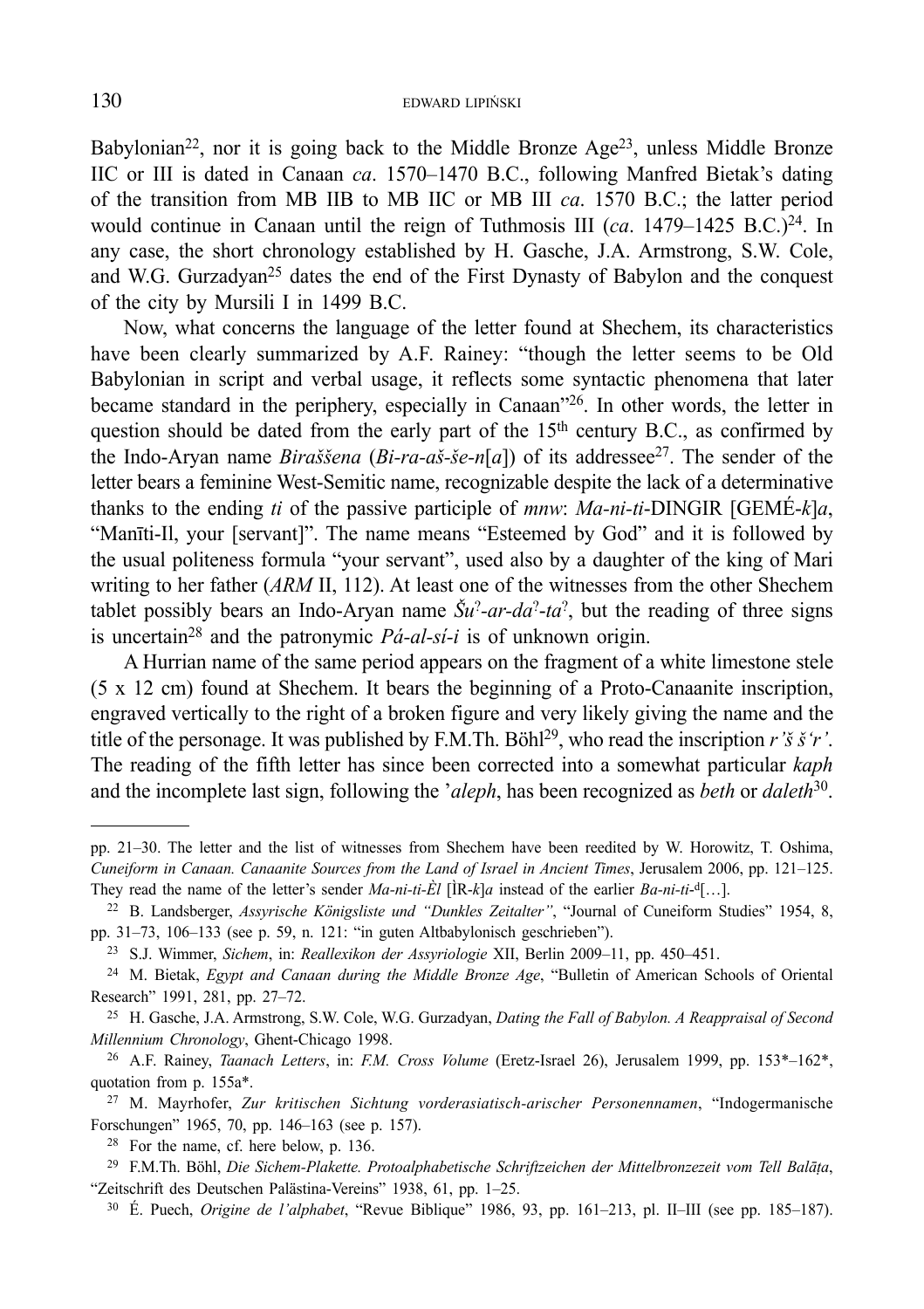Babylonian<sup>22</sup>, nor it is going back to the Middle Bronze Age<sup>23</sup>, unless Middle Bronze IIC or III is dated in Canaan *ca*. 1570–1470 B.C., following Manfred Bietak's dating of the transition from MB IIB to MB IIC or MB III *ca*. 1570 B.C.; the latter period would continue in Canaan until the reign of Tuthmosis III (*ca.* 1479–1425 B.C.)<sup>24</sup>. In any case, the short chronology established by H. Gasche, J.A. Armstrong, S.W. Cole, and W.G. Gurzadyan<sup>25</sup> dates the end of the First Dynasty of Babylon and the conquest of the city by Mursili I in 1499 B.C.

Now, what concerns the language of the letter found at Shechem, its characteristics have been clearly summarized by A.F. Rainey: "though the letter seems to be Old Babylonian in script and verbal usage, it reflects some syntactic phenomena that later became standard in the periphery, especially in Canaan"26. In other words, the letter in question should be dated from the early part of the  $15<sup>th</sup>$  century B.C., as confirmed by the Indo-Aryan name *Biraššena* (*Bi-ra-aš-še-n*[*a*]) of its addressee27. The sender of the letter bears a feminine West-Semitic name, recognizable despite the lack of a determinative thanks to the ending *ti* of the passive participle of *mnw*: *Ma-ni-ti*-DINGIR [GEMÉ-*k*]*a*, "Manīti-Il, your [servant]". The name means "Esteemed by God" and it is followed by the usual politeness formula "your servant", used also by a daughter of the king of Mari writing to her father (*ARM* II, 112). At least one of the witnesses from the other Shechem tablet possibly bears an Indo-Aryan name  $\tilde{S}u^2$ -*ar-da*<sup>2</sup>-ta<sup>2</sup>, but the reading of three signs is uncertain28 and the patronymic *Pá-al-sí-i* is of unknown origin.

A Hurrian name of the same period appears on the fragment of a white limestone stele (5 x 12 cm) found at Shechem. It bears the beginning of a Proto-Canaanite inscription, engraved vertically to the right of a broken figure and very likely giving the name and the title of the personage. It was published by F.M.Th. Böhl29, who read the inscription *r'š š'r'*. The reading of the fifth letter has since been corrected into a somewhat particular *kaph* and the incomplete last sign, following the '*aleph*, has been recognized as *beth* or *daleth*30.

pp. 21–30. The letter and the list of witnesses from Shechem have been reedited by W. Horowitz, T. Oshima, *Cuneiform in Canaan. Canaanite Sources from the Land of Israel in Ancient Times*, Jerusalem 2006, pp. 121–125. They read the name of the letter's sender *Ma-ni-ti-Èl*  $[\hat{R}-k]a$  instead of the earlier *Ba-ni-ti*-<sup>d</sup>[…].

<sup>22</sup> B. Landsberger, *Assyrische Königsliste und "Dunkles Zeitalter"*, "Journal of Cuneiform Studies" 1954, 8, pp. 31–73, 106–133 (see p. 59, n. 121: "in guten Altbabylonisch geschrieben").

<sup>23</sup> S.J. Wimmer, *Sichem*, in: *Reallexikon der Assyriologie* XII, Berlin 2009–11, pp. 450–451.

<sup>24</sup> M. Bietak, *Egypt and Canaan during the Middle Bronze Age*, "Bulletin of American Schools of Oriental Research" 1991, 281, pp. 27–72.

<sup>25</sup> H. Gasche, J.A. Armstrong, S.W. Cole, W.G. Gurzadyan, *Dating the Fall of Babylon. A Reappraisal of Second Millennium Chronology*, Ghent-Chicago 1998.

<sup>26</sup> A.F. Rainey, *Taanach Letters*, in: *F.M. Cross Volume* (Eretz-Israel 26), Jerusalem 1999, pp. 153\*–162\*, quotation from p. 155a\*.

<sup>27</sup> M. Mayrhofer, *Zur kritischen Sichtung vorderasiatisch-arischer Personennamen*, "Indogermanische Forschungen" 1965, 70, pp. 146–163 (see p. 157).

<sup>28</sup> For the name, cf. here below, p. 136.

<sup>29</sup> F.M.Th. Böhl, *Die Sichem-Plakette. Protoalphabetische Schriftzeichen der Mittelbronzezeit vom Tell Balāṭa*, "Zeitschrift des Deutschen Palästina-Vereins" 1938, 61, pp. 1–25.

<sup>30</sup> É. Puech, *Origine de l'alphabet*, "Revue Biblique" 1986, 93, pp. 161–213, pl. II–III (see pp. 185–187).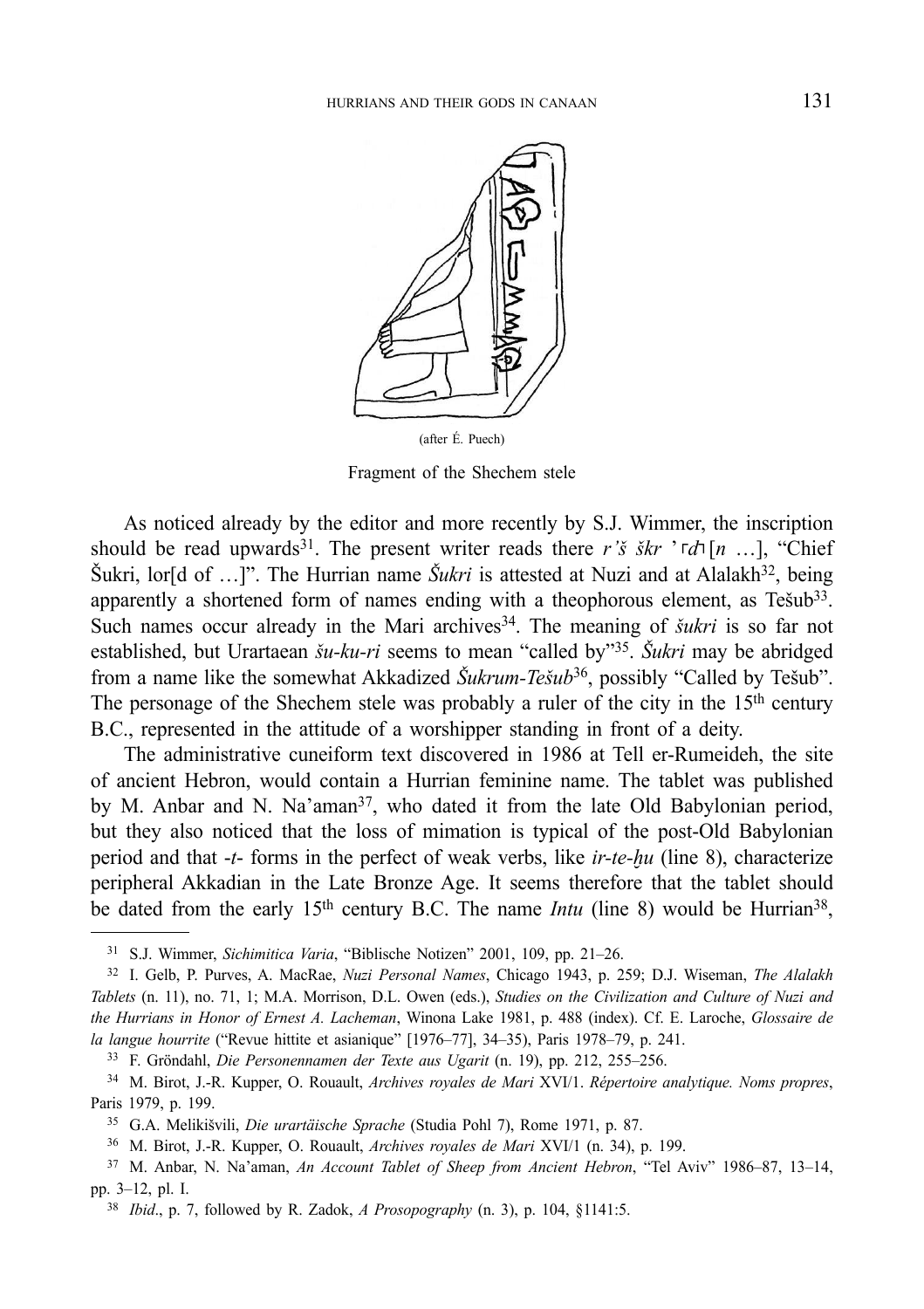

Fragment of the Shechem stele

As noticed already by the editor and more recently by S.J. Wimmer, the inscription should be read upwards<sup>31</sup>. The present writer reads there *r'š škr*  $\lceil r \rceil n \rceil$ , "Chief Šukri, lor<sup>[d of ...]". The Hurrian name *Šukri* is attested at Nuzi and at Alalakh<sup>32</sup>, being</sup> apparently a shortened form of names ending with a theophorous element, as Tešub33. Such names occur already in the Mari archives<sup>34</sup>. The meaning of *šukri* is so far not established, but Urartaean *šu-ku-ri* seems to mean "called by"35. *Šukri* may be abridged from a name like the somewhat Akkadized *Šukrum-Tešub*<sup>36</sup>, possibly "Called by Tešub". The personage of the Shechem stele was probably a ruler of the city in the  $15<sup>th</sup>$  century B.C., represented in the attitude of a worshipper standing in front of a deity.

The administrative cuneiform text discovered in 1986 at Tell er-Rumeideh, the site of ancient Hebron, would contain a Hurrian feminine name. The tablet was published by M. Anbar and N. Na'aman<sup>37</sup>, who dated it from the late Old Babylonian period, but they also noticed that the loss of mimation is typical of the post-Old Babylonian period and that -*t*- forms in the perfect of weak verbs, like *ir-te-ḫu* (line 8), characterize peripheral Akkadian in the Late Bronze Age. It seems therefore that the tablet should be dated from the early 15<sup>th</sup> century B.C. The name *Intu* (line 8) would be Hurrian<sup>38</sup>,

<sup>31</sup> S.J. Wimmer, *Sichimitica Varia*, "Biblische Notizen" 2001, 109, pp. 21–26.

<sup>32</sup> I. Gelb, P. Purves, A. MacRae, *Nuzi Personal Names*, Chicago 1943, p. 259; D.J. Wiseman, *The Alalakh Tablets* (n. 11), no. 71, 1; M.A. Morrison, D.L. Owen (eds.), *Studies on the Civilization and Culture of Nuzi and the Hurrians in Honor of Ernest A. Lacheman*, Winona Lake 1981, p. 488 (index). Cf. E. Laroche, *Glossaire de la langue hourrite* ("Revue hittite et asianique" [1976–77], 34–35), Paris 1978–79, p. 241.

<sup>33</sup> F. Gröndahl, *Die Personennamen der Texte aus Ugarit* (n. 19), pp. 212, 255–256.

<sup>34</sup> M. Birot, J.-R. Kupper, O. Rouault, *Archives royales de Mari* XVI/1. *Répertoire analytique. Noms propres*, Paris 1979, p. 199.

<sup>35</sup> G.A. Melikišvili, *Die urartäische Sprache* (Studia Pohl 7), Rome 1971, p. 87. 36 M. Birot, J.-R. Kupper, O. Rouault, *Archives royales de Mari* XVI/1 (n. 34), p. 199.

<sup>37</sup> M. Anbar, N. Na'aman, *An Account Tablet of Sheep from Ancient Hebron*, "Tel Aviv" 1986–87, 13–14, pp. 3–12, pl. I.

<sup>38</sup> *Ibid*., p. 7, followed by R. Zadok, *A Prosopography* (n. 3), p. 104, §1141:5.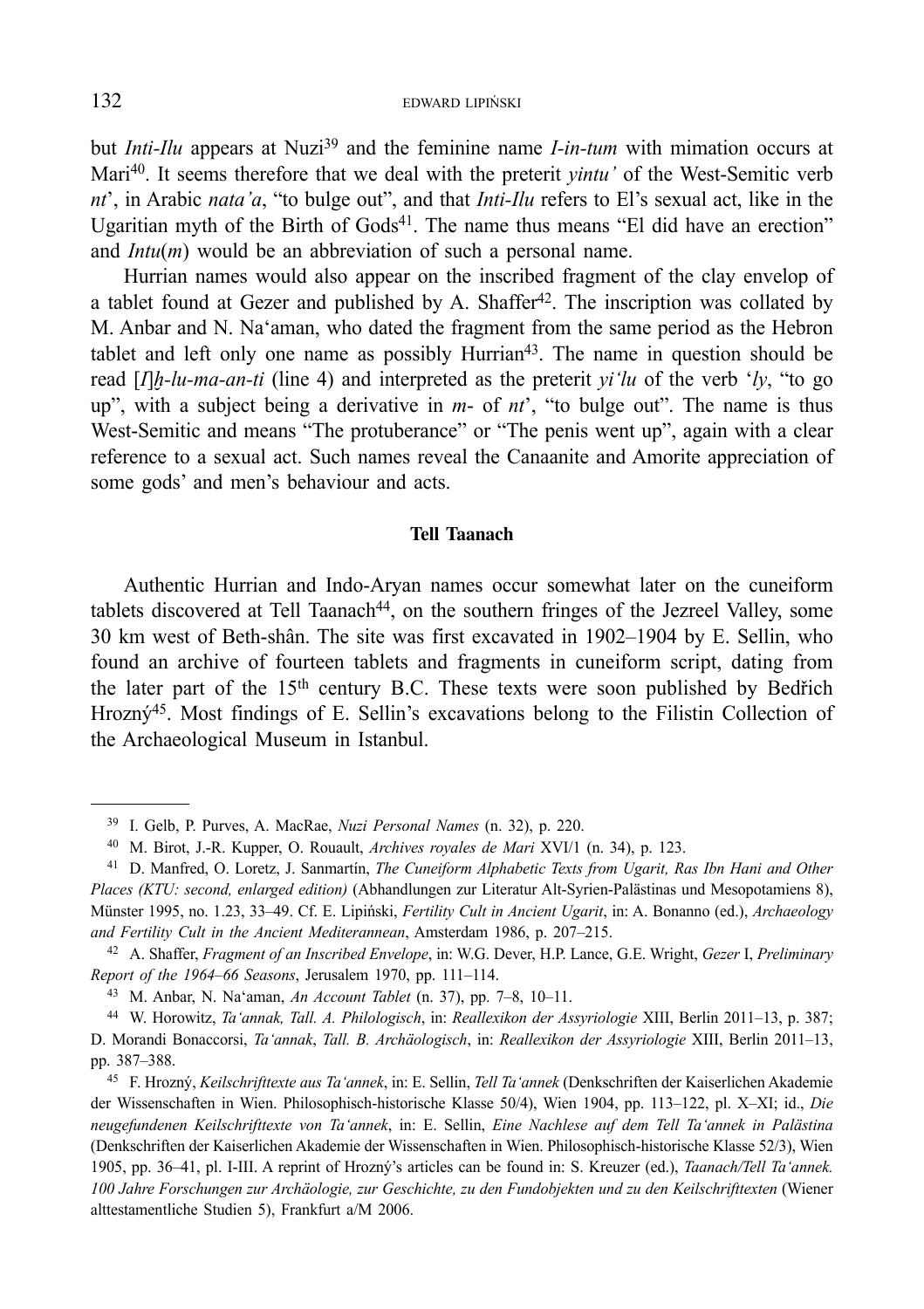but *Inti-Ilu* appears at Nuzi<sup>39</sup> and the feminine name *I-in-tum* with mimation occurs at Mari40. It seems therefore that we deal with the preterit *yintu'* of the West-Semitic verb *nt*', in Arabic *nata'a*, "to bulge out", and that *Inti-Ilu* refers to El's sexual act, like in the Ugaritian myth of the Birth of Gods<sup>41</sup>. The name thus means "El did have an erection" and *Intu*(*m*) would be an abbreviation of such a personal name.

Hurrian names would also appear on the inscribed fragment of the clay envelop of a tablet found at Gezer and published by A. Shaffer<sup>42</sup>. The inscription was collated by M. Anbar and N. Na'aman, who dated the fragment from the same period as the Hebron tablet and left only one name as possibly Hurrian<sup>43</sup>. The name in question should be read  $[I/h-lu-ma-an-ti$  (line 4) and interpreted as the preterit *yi'lu* of the verb '*ly*, "to go up", with a subject being a derivative in *m*- of *nt*', "to bulge out". The name is thus West-Semitic and means "The protuberance" or "The penis went up", again with a clear reference to a sexual act. Such names reveal the Canaanite and Amorite appreciation of some gods' and men's behaviour and acts.

#### **Tell Taanach**

Authentic Hurrian and Indo-Aryan names occur somewhat later on the cuneiform tablets discovered at Tell Taanach<sup>44</sup>, on the southern fringes of the Jezreel Valley, some 30 km west of Beth-shân. The site was first excavated in 1902–1904 by E. Sellin, who found an archive of fourteen tablets and fragments in cuneiform script, dating from the later part of the 15th century B.C. These texts were soon published by Bedřich Hrozný<sup>45</sup>. Most findings of E. Sellin's excavations belong to the Filistin Collection of the Archaeological Museum in Istanbul.

<sup>39</sup> I. Gelb, P. Purves, A. MacRae, *Nuzi Personal Names* (n. 32), p. 220.

<sup>40</sup> M. Birot, J.-R. Kupper, O. Rouault, *Archives royales de Mari* XVI/1 (n. 34), p. 123.

<sup>41</sup> D. Manfred, O. Loretz, J. Sanmartín, *The Cuneiform Alphabetic Texts from Ugarit, Ras Ibn Hani and Other Places (KTU: second, enlarged edition)* (Abhandlungen zur Literatur Alt-Syrien-Palästinas und Mesopotamiens 8), Münster 1995, no. 1.23, 33–49. Cf. E. Lipiński, *Fertility Cult in Ancient Ugarit*, in: A. Bonanno (ed.), *Archaeology and Fertility Cult in the Ancient Mediterannean*, Amsterdam 1986, p. 207–215.

<sup>42</sup> A. Shaffer, *Fragment of an Inscribed Envelope*, in: W.G. Dever, H.P. Lance, G.E. Wright, *Gezer* I, *Preliminary Report of the 1964–66 Seasons*, Jerusalem 1970, pp. 111–114.

<sup>43</sup> M. Anbar, N. Na'aman, *An Account Tablet* (n. 37), pp. 7–8, 10–11.

<sup>44</sup> W. Horowitz, *Ta'annak, Tall. A. Philologisch*, in: *Reallexikon der Assyriologie* XIII, Berlin 2011–13, p. 387; D. Morandi Bonaccorsi, *Ta'annak*, *Tall. B. Archäologisch*, in: *Reallexikon der Assyriologie* XIII, Berlin 2011–13, pp. 387–388.

<sup>45</sup> F. Hrozný, *Keilschrifttexte aus Ta'annek*, in: E. Sellin, *Tell Ta'annek* (Denkschriften der Kaiserlichen Akademie der Wissenschaften in Wien. Philosophisch-historische Klasse 50/4), Wien 1904, pp. 113–122, pl. X–XI; id., *Die neugefundenen Keilschrifttexte von Ta'annek*, in: E. Sellin, *Eine Nachlese auf dem Tell Ta'annek in Palästina* (Denkschriften der Kaiserlichen Akademie der Wissenschaften in Wien. Philosophisch-historische Klasse 52/3), Wien 1905, pp. 36–41, pl. I-III. A reprint of Hrozný's articles can be found in: S. Kreuzer (ed.), *Taanach/Tell Ta'annek. 100 Jahre Forschungen zur Archäologie, zur Geschichte, zu den Fundobjekten und zu den Keilschrifttexten* (Wiener alttestamentliche Studien 5), Frankfurt a/M 2006.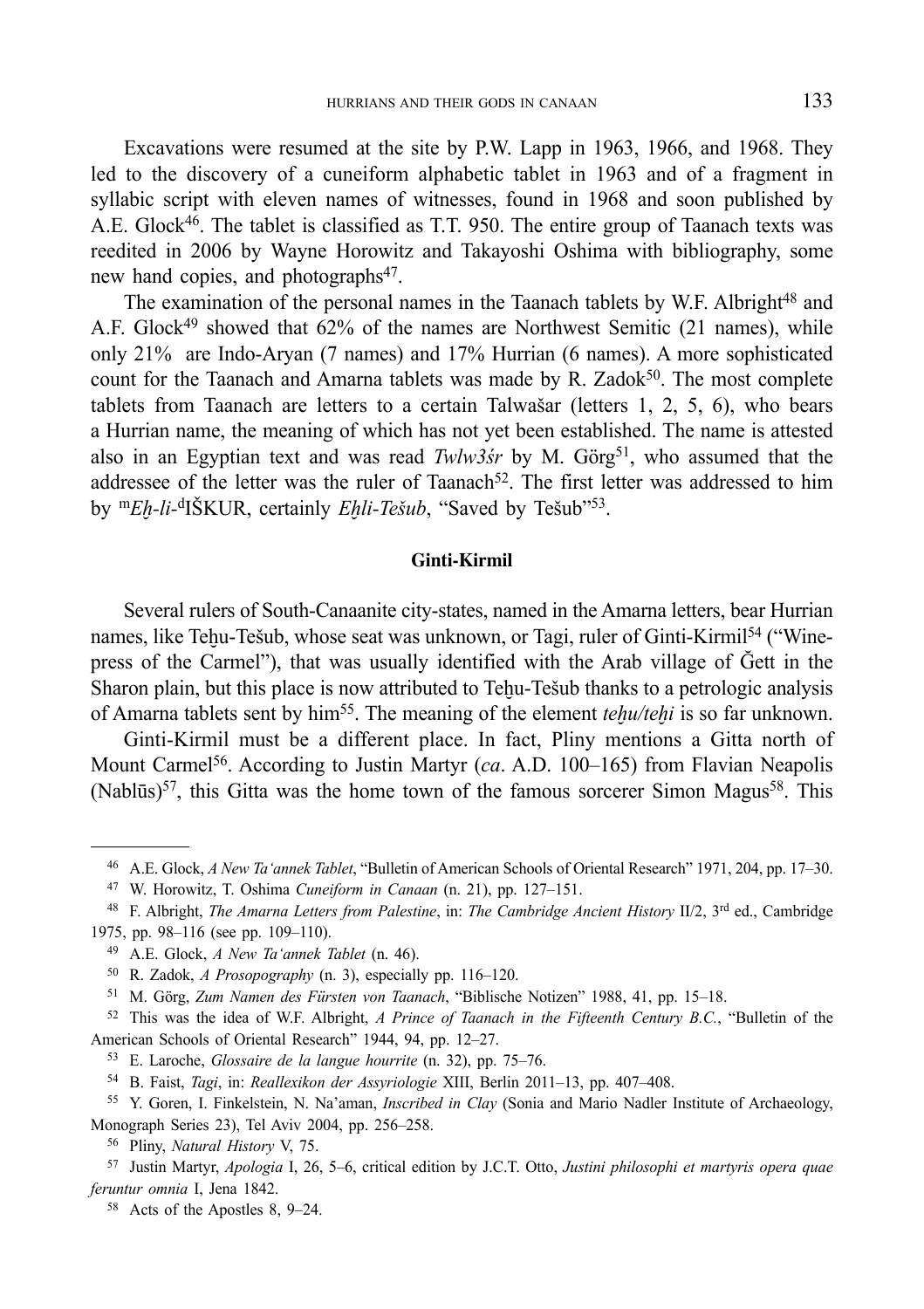Excavations were resumed at the site by P.W. Lapp in 1963, 1966, and 1968. They led to the discovery of a cuneiform alphabetic tablet in 1963 and of a fragment in syllabic script with eleven names of witnesses, found in 1968 and soon published by A.E. Glock46. The tablet is classified as T.T. 950. The entire group of Taanach texts was reedited in 2006 by Wayne Horowitz and Takayoshi Oshima with bibliography, some new hand copies, and photographs<sup>47</sup>.

The examination of the personal names in the Taanach tablets by W.F. Albright<sup>48</sup> and A.F. Glock<sup>49</sup> showed that 62% of the names are Northwest Semitic (21 names), while only 21% are Indo-Aryan (7 names) and 17% Hurrian (6 names). A more sophisticated count for the Taanach and Amarna tablets was made by R. Zadok<sup>50</sup>. The most complete tablets from Taanach are letters to a certain Talwašar (letters 1, 2, 5, 6), who bears a Hurrian name, the meaning of which has not yet been established. The name is attested also in an Egyptian text and was read *Twlw3śr* by M. Görg<sup>51</sup>, who assumed that the addressee of the letter was the ruler of Taanach<sup>52</sup>. The first letter was addressed to him by m*Eḫ-li-*dIŠKUR, certainly *Eḫli-Tešub*, "Saved by Tešub"53.

#### **Ginti-Kirmil**

Several rulers of South-Canaanite city-states, named in the Amarna letters, bear Hurrian names, like Teḥu-Tešub, whose seat was unknown, or Tagi, ruler of Ginti-Kirmil<sup>54</sup> ("Winepress of the Carmel"), that was usually identified with the Arab village of Ğett in the Sharon plain, but this place is now attributed to Tehu-Tešub thanks to a petrologic analysis of Amarna tablets sent by him55. The meaning of the element *teḫu/teḫi* is so far unknown.

Ginti-Kirmil must be a different place. In fact, Pliny mentions a Gitta north of Mount Carmel<sup>56</sup>. According to Justin Martyr (*ca.* A.D. 100–165) from Flavian Neapolis  $(Nabl\bar{u}s)^{57}$ , this Gitta was the home town of the famous sorcerer Simon Magus<sup>58</sup>. This

<sup>46</sup> A.E. Glock, *A New Ta'annek Tablet*, "Bulletin of American Schools of Oriental Research" 1971, 204, pp. 17–30.

<sup>47</sup> W. Horowitz, T. Oshima *Cuneiform in Canaan* (n. 21), pp. 127–151.

<sup>48</sup> F. Albright, *The Amarna Letters from Palestine*, in: *The Cambridge Ancient History* II/2, 3rd ed., Cambridge 1975, pp. 98–116 (see pp. 109–110).

<sup>49</sup> A.E. Glock, *A New Ta'annek Tablet* (n. 46).

<sup>50</sup> R. Zadok, *A Prosopography* (n. 3), especially pp. 116–120.

<sup>51</sup> M. Görg, *Zum Namen des Fürsten von Taanach*, "Biblische Notizen" 1988, 41, pp. 15–18. 52 This was the idea of W.F. Albright, *A Prince of Taanach in the Fifteenth Century B.C.*, "Bulletin of the

American Schools of Oriental Research" 1944, 94, pp. 12–27. 53 E. Laroche, *Glossaire de la langue hourrite* (n. 32), pp. 75–76.

<sup>54</sup> B. Faist, *Tagi*, in: *Reallexikon der Assyriologie* XIII, Berlin 2011–13, pp. 407–408.

<sup>55</sup> Y. Goren, I. Finkelstein, N. Na'aman, *Inscribed in Clay* (Sonia and Mario Nadler Institute of Archaeology, Monograph Series 23), Tel Aviv 2004, pp. 256–258. 56 Pliny, *Natural History* V, 75.

<sup>57</sup> Justin Martyr, *Apologia* I, 26, 5–6, critical edition by J.C.T. Otto, *Justini philosophi et martyris opera quae feruntur omnia* I, Jena 1842.

<sup>58</sup> Acts of the Apostles 8, 9–24.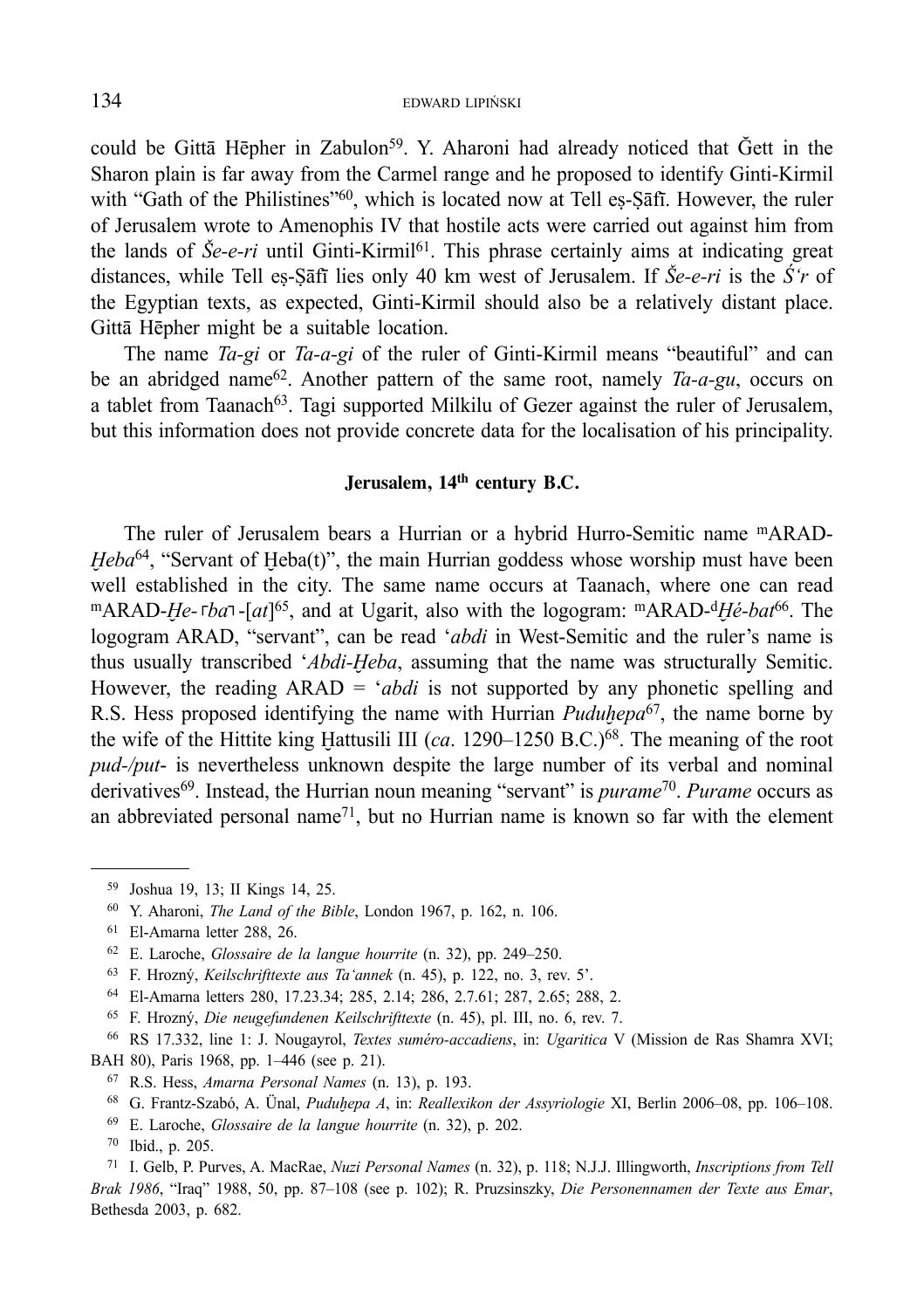could be Gittā Hēpher in Zabulon<sup>59</sup>. Y. Aharoni had already noticed that Ğett in the Sharon plain is far away from the Carmel range and he proposed to identify Ginti-Kirmil with "Gath of the Philistines"<sup>60</sup>, which is located now at Tell eṣ-Ṣāfī. However, the ruler of Jerusalem wrote to Amenophis IV that hostile acts were carried out against him from the lands of  $\check{S}e-e-ri$  until Ginti-Kirmil<sup>61</sup>. This phrase certainly aims at indicating great distances, while Tell eṣ-Ṣāfī lies only 40 km west of Jerusalem. If *Še-e-ri* is the *Ś'r* of the Egyptian texts, as expected, Ginti-Kirmil should also be a relatively distant place. Gittā Hēpher might be a suitable location.

The name *Ta-gi* or *Ta-a-gi* of the ruler of Ginti-Kirmil means "beautiful" and can be an abridged name62. Another pattern of the same root, namely *Ta-a-gu*, occurs on a tablet from Taanach<sup>63</sup>. Tagi supported Milkilu of Gezer against the ruler of Jerusalem, but this information does not provide concrete data for the localisation of his principality.

## **Jerusalem, 14th century B.C.**

The ruler of Jerusalem bears a Hurrian or a hybrid Hurro-Semitic name mARAD-*Heba*<sup>64</sup>, "Servant of Heba(t)", the main Hurrian goddess whose worship must have been well established in the city. The same name occurs at Taanach, where one can read mARAD-*He*- $\epsilon$ - $\epsilon$ *ba* $\tau$ -[*at*]<sup>65</sup>, and at Ugarit, also with the logogram: mARAD-<sup>d</sup>*Hé*-*bat*<sup>66</sup>. The logogram ARAD, "servant", can be read '*abdi* in West-Semitic and the ruler's name is thus usually transcribed '*Abdi-Ḫeba*, assuming that the name was structurally Semitic. However, the reading ARAD = '*abdi* is not supported by any phonetic spelling and R.S. Hess proposed identifying the name with Hurrian *Puduḫepa*67, the name borne by the wife of the Hittite king Hattusili III (*ca.* 1290–1250 B.C.)<sup>68</sup>. The meaning of the root *pud-/put*- is nevertheless unknown despite the large number of its verbal and nominal derivatives69. Instead, the Hurrian noun meaning "servant" is *purame*70. *Purame* occurs as an abbreviated personal name<sup>71</sup>, but no Hurrian name is known so far with the element

64 El-Amarna letters 280, 17.23.34; 285, 2.14; 286, 2.7.61; 287, 2.65; 288, 2.

<sup>59</sup> Joshua 19, 13; II Kings 14, 25.

<sup>60</sup> Y. Aharoni, *The Land of the Bible*, London 1967, p. 162, n. 106.

<sup>61</sup> El-Amarna letter 288, 26.

<sup>62</sup> E. Laroche, *Glossaire de la langue hourrite* (n. 32), pp. 249–250. 63 F. Hrozný, *Keilschrifttexte aus Ta'annek* (n. 45), p. 122, no. 3, rev. 5'.

<sup>65</sup> F. Hrozný, *Die neugefundenen Keilschrifttexte* (n. 45), pl. III, no. 6, rev. 7.

<sup>66</sup> RS 17.332, line 1: J. Nougayrol, *Textes suméro-accadiens*, in: *Ugaritica* V (Mission de Ras Shamra XVI; BAH 80), Paris 1968, pp. 1–446 (see p. 21). 67 R.S. Hess, *Amarna Personal Names* (n. 13), p. 193.

<sup>68</sup> G. Frantz-Szabó, A. Ünal, *Puduḫepa A*, in: *Reallexikon der Assyriologie* XI, Berlin 2006–08, pp. 106–108.

<sup>69</sup> E. Laroche, *Glossaire de la langue hourrite* (n. 32), p. 202.

<sup>70</sup> Ibid., p. 205.

<sup>71</sup> I. Gelb, P. Purves, A. MacRae, *Nuzi Personal Names* (n. 32), p. 118; N.J.J. Illingworth, *Inscriptions from Tell Brak 1986*, "Iraq" 1988, 50, pp. 87–108 (see p. 102); R. Pruzsinszky, *Die Personennamen der Texte aus Emar*, Bethesda 2003, p. 682.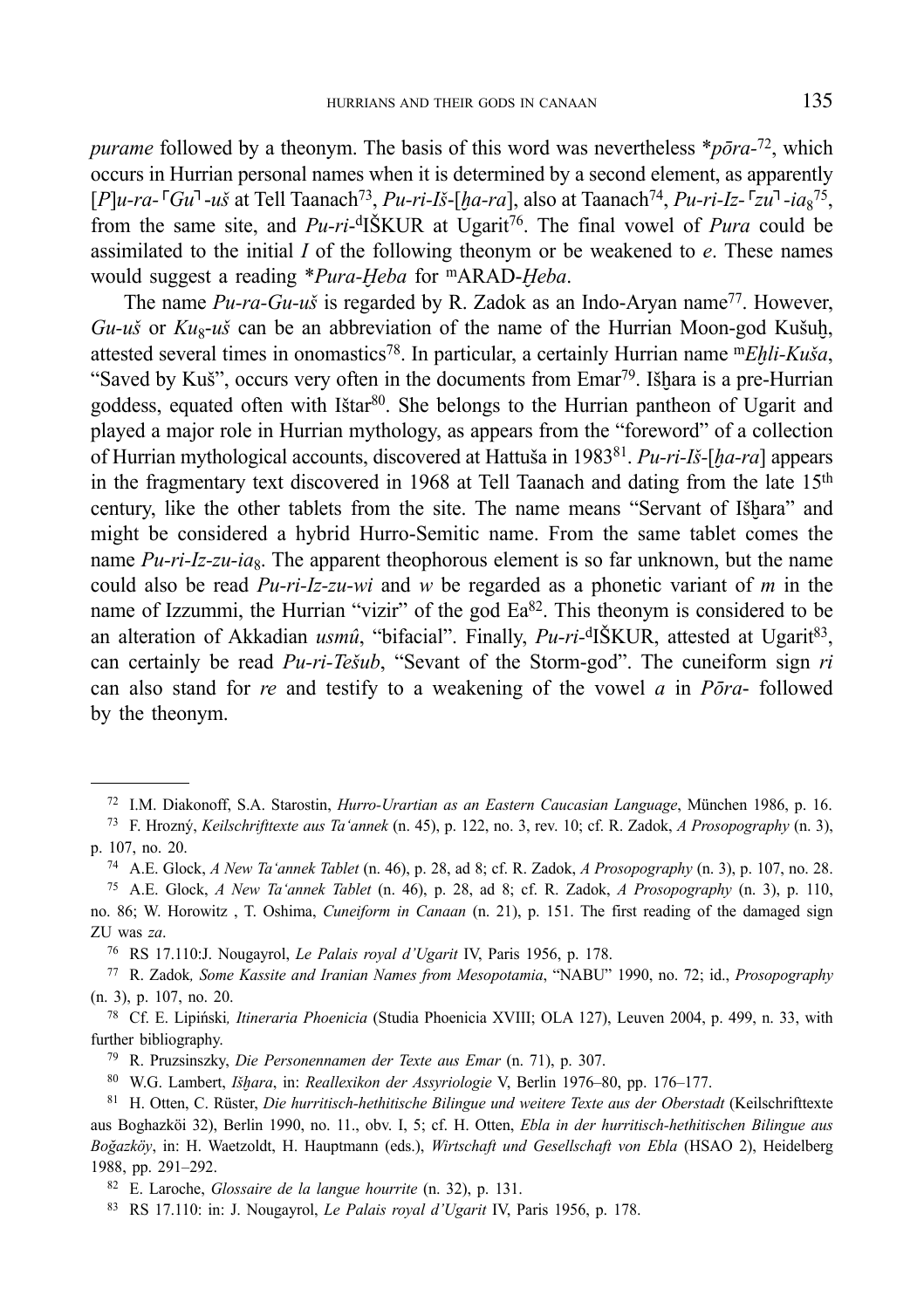*purame* followed by a theonym. The basis of this word was nevertheless \**pōra-*72, which occurs in Hurrian personal names when it is determined by a second element, as apparently [*P*]*u-ra-*┌*Gu*┐-*uš* at Tell Taanach73, *Pu-ri-Iš*-[*ḫa-ra*], also at Taanach74, *Pu-ri-Iz-*┌*zu*┐*-ia*<sup>8</sup> 75, from the same site, and *Pu-ri*-dIŠKUR at Ugarit76. The final vowel of *Pura* could be assimilated to the initial *I* of the following theonym or be weakened to *e*. These names would suggest a reading \**Pura-Ḫeba* for mARAD-*Ḫeba*.

The name *Pu-ra-Gu-uš* is regarded by R. Zadok as an Indo-Aryan name<sup>77</sup>. However,  $Gu-*u*$ s or  $Ku<sub>8</sub>$ -*uš* can be an abbreviation of the name of the Hurrian Moon-god Kušuh, attested several times in onomastics78. In particular, a certainly Hurrian name m*Eḫli-Kuša*, "Saved by Kuš", occurs very often in the documents from Emar<sup>79</sup>. Išḥara is a pre-Hurrian goddess, equated often with Istar<sup>80</sup>. She belongs to the Hurrian pantheon of Ugarit and played a major role in Hurrian mythology, as appears from the "foreword" of a collection of Hurrian mythological accounts, discovered at Hattuša in 198381. *Pu-ri-Iš-*[*ḫa-ra*] appears in the fragmentary text discovered in 1968 at Tell Taanach and dating from the late 15<sup>th</sup> century, like the other tablets from the site. The name means "Servant of Išhara" and might be considered a hybrid Hurro-Semitic name. From the same tablet comes the name  $Pu$ -ri-Iz-zu-ia<sub>8</sub>. The apparent theophorous element is so far unknown, but the name could also be read *Pu-ri-Iz-zu-wi* and *w* be regarded as a phonetic variant of *m* in the name of Izzummi, the Hurrian "vizir" of the god Ea<sup>82</sup>. This theonym is considered to be an alteration of Akkadian *usmû*, "bifacial". Finally, *Pu-ri*-<sup>d</sup>IŠKUR, attested at Ugarit<sup>83</sup>, can certainly be read *Pu-ri-Tešub*, "Sevant of the Storm-god". The cuneiform sign *ri* can also stand for *re* and testify to a weakening of the vowel *a* in *Pōra*- followed by the theonym.

76 RS 17.110:J. Nougayrol, *Le Palais royal d'Ugarit* IV, Paris 1956, p. 178.

78 Cf. E. Lipiński*, Itineraria Phoenicia* (Studia Phoenicia XVIII; OLA 127), Leuven 2004, p. 499, n. 33, with further bibliography.

79 R. Pruzsinszky, *Die Personennamen der Texte aus Emar* (n. 71), p. 307.

80 W.G. Lambert, *Išḫara*, in: *Reallexikon der Assyriologie* V, Berlin 1976–80, pp. 176–177.

<sup>&</sup>lt;sup>72</sup> I.M. Diakonoff, S.A. Starostin, *Hurro-Urartian as an Eastern Caucasian Language*, München 1986, p. 16.<br><sup>73</sup> F. Hrozný, *Keilschrifttexte aus Ta'annek* (n. 45), p. 122, no. 3, rev. 10; cf. R. Zadok, *A Prosopography* 

p. 107, no. 20.

<sup>74</sup> A.E. Glock, *A New Ta'annek Tablet* (n. 46), p. 28, ad 8; cf. R. Zadok, *A Prosopography* (n. 3), p. 107, no. 28.

<sup>75</sup> A.E. Glock, *A New Ta'annek Tablet* (n. 46), p. 28, ad 8; cf. R. Zadok, *A Prosopography* (n. 3), p. 110, no. 86; W. Horowitz , T. Oshima, *Cuneiform in Canaan* (n. 21), p. 151. The first reading of the damaged sign ZU was *za*.

<sup>77</sup> R. Zadok*, Some Kassite and Iranian Names from Mesopotamia*, "NABU" 1990, no. 72; id., *Prosopography*  (n. 3), p. 107, no. 20.

<sup>81</sup> H. Otten, C. Rüster, *Die hurritisch-hethitische Bilingue und weitere Texte aus der Oberstadt* (Keilschrifttexte aus Boghazköi 32), Berlin 1990, no. 11., obv. I, 5; cf. H. Otten, *Ebla in der hurritisch-hethitischen Bilingue aus Boğazköy*, in: H. Waetzoldt, H. Hauptmann (eds.), *Wirtschaft und Gesellschaft von Ebla* (HSAO 2), Heidelberg 1988, pp. 291–292.

<sup>82</sup> E. Laroche, *Glossaire de la langue hourrite* (n. 32), p. 131.

<sup>83</sup> RS 17.110: in: J. Nougayrol, *Le Palais royal d'Ugarit* IV, Paris 1956, p. 178.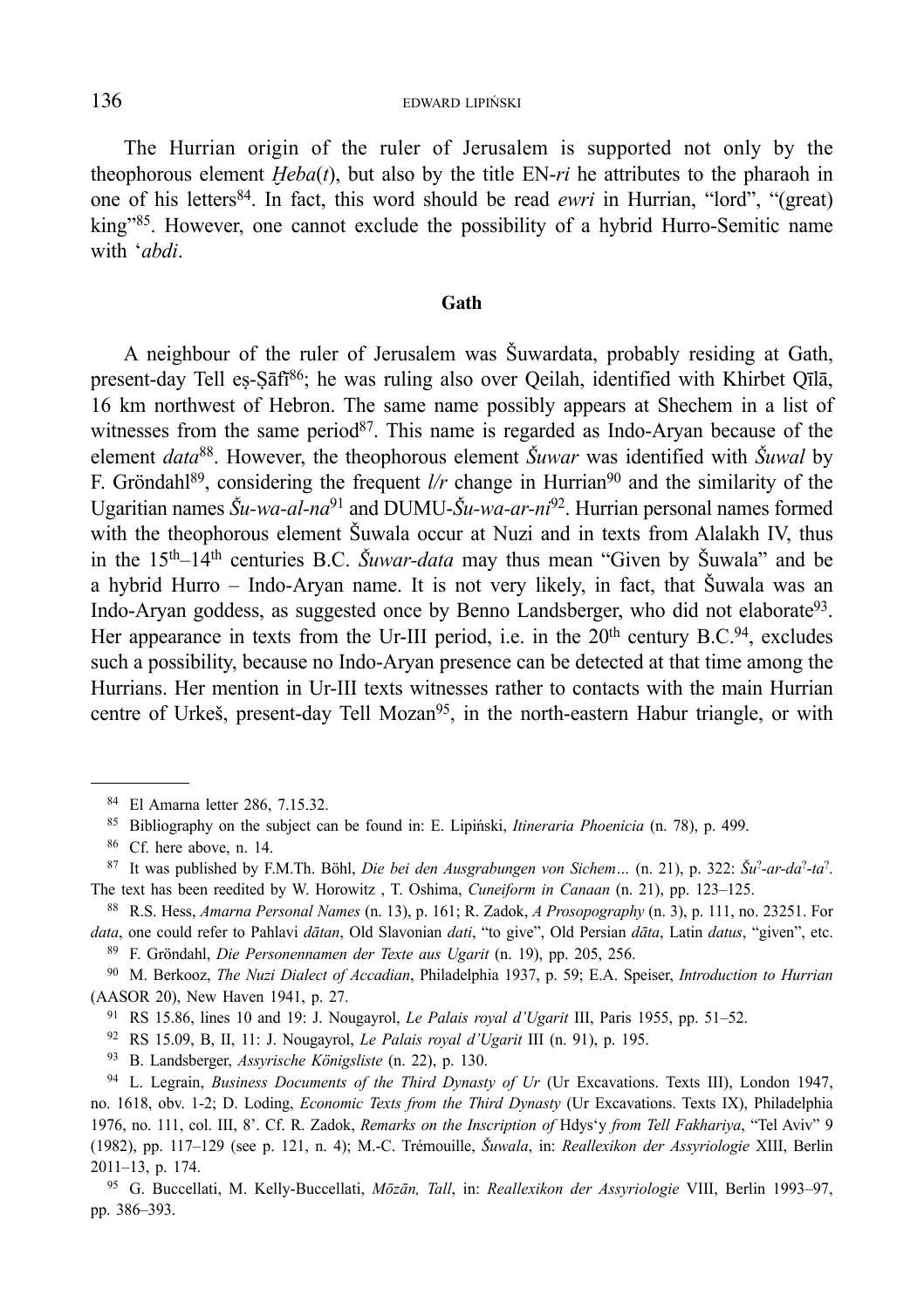The Hurrian origin of the ruler of Jerusalem is supported not only by the theophorous element  $Heba(t)$ , but also by the title EN- $ri$  he attributes to the pharaoh in one of his letters84. In fact, this word should be read *ewri* in Hurrian, "lord", "(great) king"85. However, one cannot exclude the possibility of a hybrid Hurro-Semitic name with '*abdi*.

#### **Gath**

A neighbour of the ruler of Jerusalem was Šuwardata, probably residing at Gath, present-day Tell eṣ-Ṣāfī 86; he was ruling also over Qeilah, identified with Khirbet Qīlā, 16 km northwest of Hebron. The same name possibly appears at Shechem in a list of witnesses from the same period<sup>87</sup>. This name is regarded as Indo-Aryan because of the element *data*88. However, the theophorous element *Šuwar* was identified with *Šuwal* by F. Gröndahl<sup>89</sup>, considering the frequent  $l/r$  change in Hurrian<sup>90</sup> and the similarity of the Ugaritian names *Šu-wa-al-na*91 and DUMU-*Šu-wa-ar-ni*92. Hurrian personal names formed with the theophorous element Šuwala occur at Nuzi and in texts from Alalakh IV, thus in the 15th–14th centuries B.C. *Šuwar-data* may thus mean "Given by Šuwala" and be a hybrid Hurro – Indo-Aryan name. It is not very likely, in fact, that Šuwala was an Indo-Aryan goddess, as suggested once by Benno Landsberger, who did not elaborate<sup>93</sup>. Her appearance in texts from the Ur-III period, i.e. in the  $20<sup>th</sup>$  century B.C.<sup>94</sup>, excludes such a possibility, because no Indo-Aryan presence can be detected at that time among the Hurrians. Her mention in Ur-III texts witnesses rather to contacts with the main Hurrian centre of Urkeš, present-day Tell Mozan<sup>95</sup>, in the north-eastern Habur triangle, or with

90 M. Berkooz, *The Nuzi Dialect of Accadian*, Philadelphia 1937, p. 59; E.A. Speiser, *Introduction to Hurrian* (AASOR 20), New Haven 1941, p. 27.

91 RS 15.86, lines 10 and 19: J. Nougayrol, *Le Palais royal d'Ugarit* III, Paris 1955, pp. 51–52.

92 RS 15.09, B, II, 11: J. Nougayrol, *Le Palais royal d'Ugarit* III (n. 91), p. 195.

93 B. Landsberger, *Assyrische Königsliste* (n. 22), p. 130.

94 L. Legrain, *Business Documents of the Third Dynasty of Ur* (Ur Excavations. Texts III), London 1947, no. 1618, obv. 1-2; D. Loding, *Economic Texts from the Third Dynasty* (Ur Excavations. Texts IX), Philadelphia 1976, no. 111, col. III, 8'. Cf. R. Zadok, *Remarks on the Inscription of* Hdys'y *from Tell Fakhariya*, "Tel Aviv" 9 (1982), pp. 117–129 (see p. 121, n. 4); M.-C. Trémouille, *Šuwala*, in: *Reallexikon der Assyriologie* XIII, Berlin 2011–13, p. 174.

95 G. Buccellati, M. Kelly-Buccellati, *Mōzān, Tall*, in: *Reallexikon der Assyriologie* VIII, Berlin 1993–97, pp. 386–393.

<sup>84</sup> El Amarna letter 286, 7.15.32.

<sup>85</sup> Bibliography on the subject can be found in: E. Lipiński, *Itineraria Phoenicia* (n. 78), p. 499.

<sup>86</sup> Cf. here above, n. 14.

<sup>87</sup> It was published by F.M.Th. Böhl, *Die bei den Ausgrabungen von Sichem…* (n. 21), p. 322: *Šu*?*-ar-da*?-*ta*?. The text has been reedited by W. Horowitz , T. Oshima, *Cuneiform in Canaan* (n. 21), pp. 123–125.

<sup>88</sup> R.S. Hess, *Amarna Personal Names* (n. 13), p. 161; R. Zadok, *A Prosopography* (n. 3), p. 111, no. 23251. For data, one could refer to Pahlavi dātan, Old Slavonian dati, "to give", Old Persian dāta, Latin datus, "given", etc.<br><sup>89</sup> F. Gröndahl, Die Personennamen der Texte aus Ugarit (n. 19), pp. 205, 256.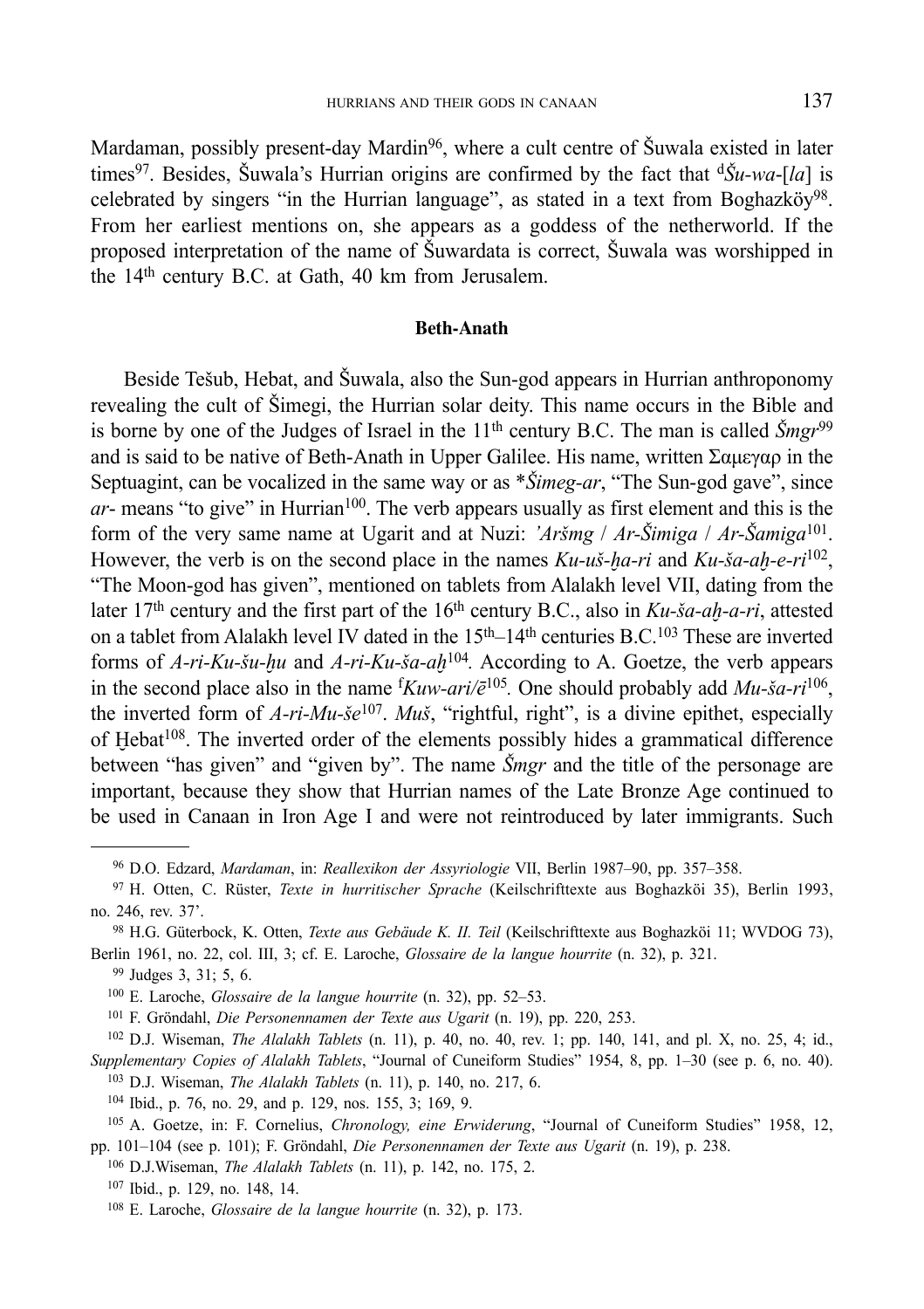Mardaman, possibly present-day Mardin<sup>96</sup>, where a cult centre of Šuwala existed in later times<sup>97</sup>. Besides, Šuwala's Hurrian origins are confirmed by the fact that  $\frac{d\tilde{S}u - wa - [la]}{ds}$  is celebrated by singers "in the Hurrian language", as stated in a text from Boghazköy<sup>98</sup>. From her earliest mentions on, she appears as a goddess of the netherworld. If the proposed interpretation of the name of Šuwardata is correct, Šuwala was worshipped in the 14th century B.C. at Gath, 40 km from Jerusalem.

#### **Beth-Anath**

Beside Tešub, Hebat, and Šuwala, also the Sun-god appears in Hurrian anthroponomy revealing the cult of Šimegi, the Hurrian solar deity. This name occurs in the Bible and is borne by one of the Judges of Israel in the 11<sup>th</sup> century B.C. The man is called  $\tilde{S}$ *mgr*<sup>99</sup> and is said to be native of Beth-Anath in Upper Galilee. His name, written Σαμεγαρ in the Septuagint, can be vocalized in the same way or as \**Šimeg-ar*, "The Sun-god gave", since  $ar$ - means "to give" in Hurrian<sup>100</sup>. The verb appears usually as first element and this is the form of the very same name at Ugarit and at Nuzi: *'Aršmg* / *Ar-Šimiga* / *Ar-Šamiga*101. However, the verb is on the second place in the names  $Ku$ -*uš-ha-ri* and  $Ku$ -*ša-ah-e-ri*<sup>102</sup>, "The Moon-god has given", mentioned on tablets from Alalakh level VII, dating from the later 17th century and the first part of the 16th century B.C., also in *Ku-ša-aḫ-a-ri*, attested on a tablet from Alalakh level IV dated in the  $15<sup>th</sup>-14<sup>th</sup>$  centuries B.C.<sup>103</sup> These are inverted forms of *A-ri-Ku-šu-ḫu* and *A-ri-Ku-ša-aḫ*104*.* According to A. Goetze, the verb appears in the second place also in the name f *Kuw-ari/ē*105*.* One should probably add *Mu-ša-ri*106, the inverted form of *A-ri-Mu-še*107. *Muš*, "rightful, right", is a divine epithet, especially of  $Hebat<sup>108</sup>$ . The inverted order of the elements possibly hides a grammatical difference between "has given" and "given by". The name *Šmgr* and the title of the personage are important, because they show that Hurrian names of the Late Bronze Age continued to be used in Canaan in Iron Age I and were not reintroduced by later immigrants. Such

 <sup>96</sup> D.O. Edzard, *Mardaman*, in: *Reallexikon der Assyriologie* VII, Berlin 1987–90, pp. 357–358. 97 H. Otten, C. Rüster, *Texte in hurritischer Sprache* (Keilschrifttexte aus Boghazköi 35), Berlin 1993,

no. 246, rev. 37'. 98 H.G. Güterbock, K. Otten, *Texte aus Gebäude K. II. Teil* (Keilschrifttexte aus Boghazköi 11; WVDOG 73),

Berlin 1961, no. 22, col. III, 3; cf. E. Laroche, *Glossaire de la langue hourrite* (n. 32), p. 321. 99 Judges 3, 31; 5, 6.

<sup>100</sup> E. Laroche, *Glossaire de la langue hourrite* (n. 32), pp. 52–53.

<sup>101</sup> F. Gröndahl, *Die Personennamen der Texte aus Ugarit* (n. 19), pp. 220, 253.

<sup>102</sup> D.J. Wiseman, *The Alalakh Tablets* (n. 11), p. 40, no. 40, rev. 1; pp. 140, 141, and pl. X, no. 25, 4; id., *Supplementary Copies of Alalakh Tablets*, "Journal of Cuneiform Studies" 1954, 8, pp. 1–30 (see p. 6, no. 40).

<sup>&</sup>lt;sup>103</sup> D.J. Wiseman, *The Alalakh Tablets* (n. 11), p. 140, no. 217, 6.<br><sup>104</sup> Ibid., p. 76, no. 29, and p. 129, nos. 155, 3; 169, 9.<br><sup>105</sup> A. Goetze, in: F. Cornelius, *Chronology, eine Erwiderung*, "Journal of Cuneiform S pp. 101–104 (see p. 101); F. Gröndahl, *Die Personennamen der Texte aus Ugarit* (n. 19), p. 238.

<sup>106</sup> D.J.Wiseman, *The Alalakh Tablets* (n. 11), p. 142, no. 175, 2.

<sup>107</sup> Ibid., p. 129, no. 148, 14.

<sup>108</sup> E. Laroche, *Glossaire de la langue hourrite* (n. 32), p. 173.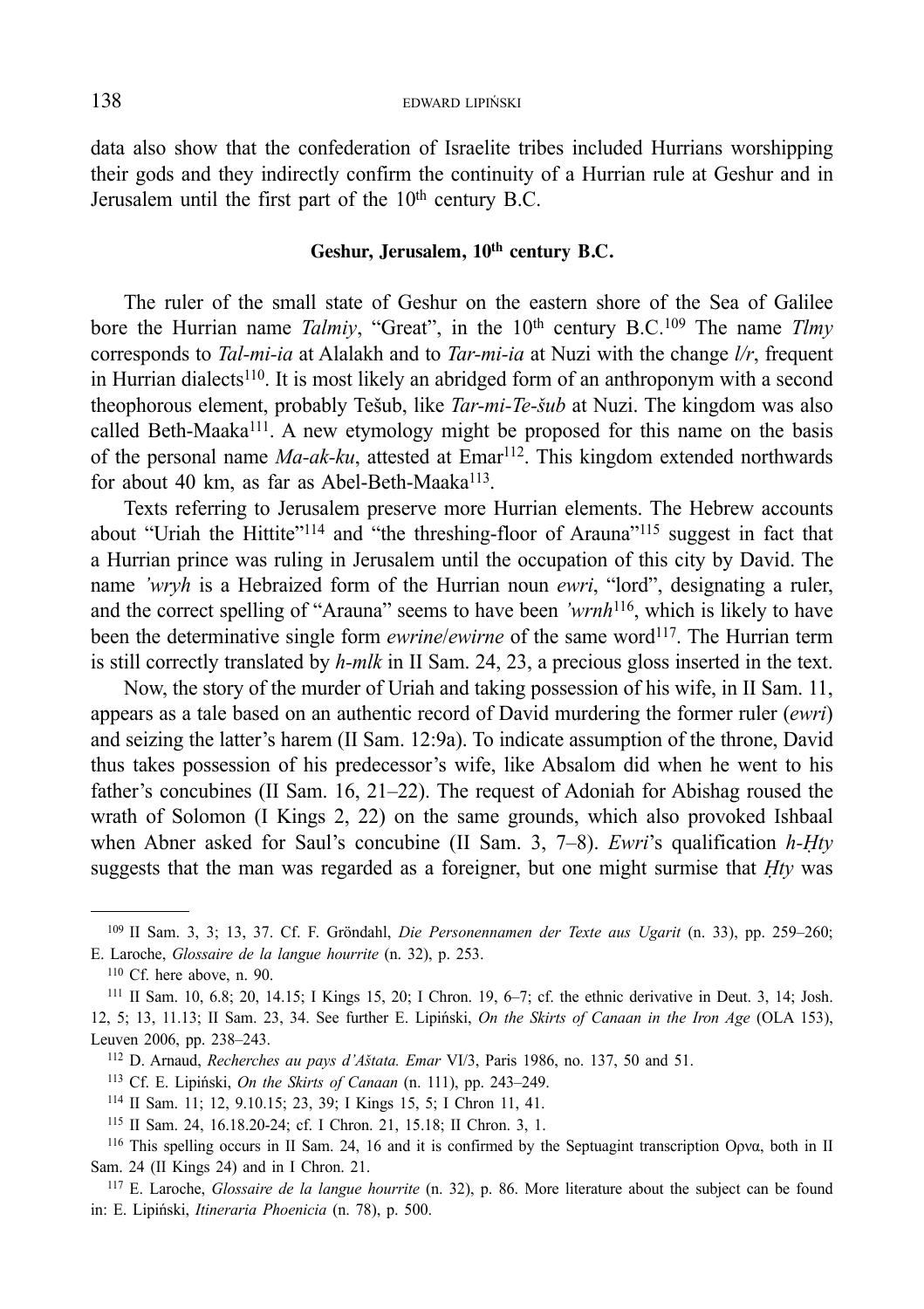data also show that the confederation of Israelite tribes included Hurrians worshipping their gods and they indirectly confirm the continuity of a Hurrian rule at Geshur and in Jerusalem until the first part of the 10<sup>th</sup> century B.C.

## **Geshur, Jerusalem, 10th century B.C.**

The ruler of the small state of Geshur on the eastern shore of the Sea of Galilee bore the Hurrian name *Talmiy*, "Great", in the 10<sup>th</sup> century B.C.<sup>109</sup> The name *Tlmy* corresponds to *Tal-mi-ia* at Alalakh and to *Tar-mi-ia* at Nuzi with the change *l/r*, frequent in Hurrian dialects<sup>110</sup>. It is most likely an abridged form of an anthroponym with a second theophorous element, probably Tešub, like *Tar-mi-Te-šub* at Nuzi. The kingdom was also called Beth-Maaka<sup>111</sup>. A new etymology might be proposed for this name on the basis of the personal name *Ma-ak-ku*, attested at Emar112. This kingdom extended northwards for about 40 km, as far as Abel-Beth-Maaka $^{113}$ .

Texts referring to Jerusalem preserve more Hurrian elements. The Hebrew accounts about "Uriah the Hittite"114 and "the threshing-floor of Arauna"115 suggest in fact that a Hurrian prince was ruling in Jerusalem until the occupation of this city by David. The name *'wryh* is a Hebraized form of the Hurrian noun *ewri*, "lord", designating a ruler, and the correct spelling of "Arauna" seems to have been *'wrnh*116, which is likely to have been the determinative single form *ewrine/ewirne* of the same word<sup>117</sup>. The Hurrian term is still correctly translated by *h-mlk* in II Sam. 24, 23, a precious gloss inserted in the text.

Now, the story of the murder of Uriah and taking possession of his wife, in II Sam. 11, appears as a tale based on an authentic record of David murdering the former ruler (*ewri*) and seizing the latter's harem (II Sam. 12:9a). To indicate assumption of the throne, David thus takes possession of his predecessor's wife, like Absalom did when he went to his father's concubines (II Sam. 16, 21–22). The request of Adoniah for Abishag roused the wrath of Solomon (I Kings 2, 22) on the same grounds, which also provoked Ishbaal when Abner asked for Saul's concubine (II Sam. 3, 7–8). *Ewri*'s qualification *h-Ḥty* suggests that the man was regarded as a foreigner, but one might surmise that *Ḥty* was

- 113 Cf. E. Lipiński, *On the Skirts of Canaan* (n. 111), pp. 243–249. 114 II Sam. 11; 12, 9.10.15; 23, 39; I Kings 15, 5; I Chron 11, 41.
- 

<sup>109</sup> II Sam. 3, 3; 13, 37. Cf. F. Gröndahl, *Die Personennamen der Texte aus Ugarit* (n. 33), pp. 259–260; E. Laroche, *Glossaire de la langue hourrite* (n. 32), p. 253.

<sup>110</sup> Cf. here above, n. 90.

<sup>111</sup> II Sam. 10, 6.8; 20, 14.15; I Kings 15, 20; I Chron. 19, 6–7; cf. the ethnic derivative in Deut. 3, 14; Josh. 12, 5; 13, 11.13; II Sam. 23, 34. See further E. Lipiński, *On the Skirts of Canaan in the Iron Age* (OLA 153), Leuven 2006, pp. 238–243.

<sup>112</sup> D. Arnaud, *Recherches au pays d'Aštata. Emar* VI/3, Paris 1986, no. 137, 50 and 51.

<sup>115</sup> II Sam. 24, 16.18.20-24; cf. I Chron. 21, 15.18; II Chron. 3, 1.

<sup>116</sup> This spelling occurs in II Sam. 24, 16 and it is confirmed by the Septuagint transcription Ορνα, both in II Sam. 24 (II Kings 24) and in I Chron. 21.

<sup>117</sup> E. Laroche, *Glossaire de la langue hourrite* (n. 32), p. 86. More literature about the subject can be found in: E. Lipiński, *Itineraria Phoenicia* (n. 78), p. 500.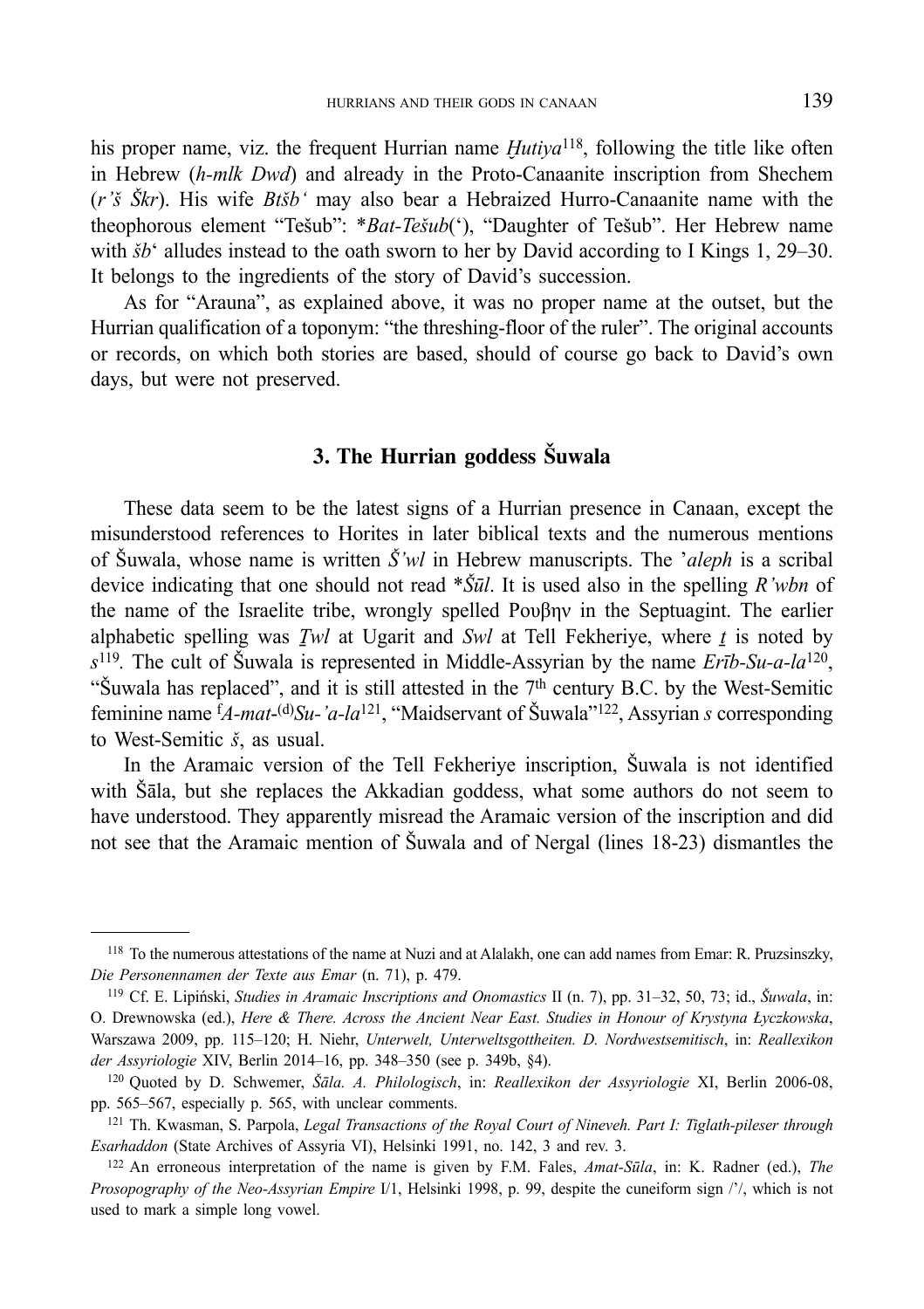his proper name, viz. the frequent Hurrian name *Hutiya*<sup>118</sup>, following the title like often in Hebrew (*h-mlk Dwd*) and already in the Proto-Canaanite inscription from Shechem (*r'š Škr*). His wife *Btšb'* may also bear a Hebraized Hurro-Canaanite name with the theophorous element "Tešub": \**Bat-Tešub*('), "Daughter of Tešub". Her Hebrew name with  $\delta b^{\prime}$  alludes instead to the oath sworn to her by David according to I Kings 1, 29–30. It belongs to the ingredients of the story of David's succession.

As for "Arauna", as explained above, it was no proper name at the outset, but the Hurrian qualification of a toponym: "the threshing-floor of the ruler". The original accounts or records, on which both stories are based, should of course go back to David's own days, but were not preserved.

# **3. The Hurrian goddess Šuwala**

These data seem to be the latest signs of a Hurrian presence in Canaan, except the misunderstood references to Horites in later biblical texts and the numerous mentions of Šuwala, whose name is written *Š'wl* in Hebrew manuscripts. The '*aleph* is a scribal device indicating that one should not read \**Šūl*. It is used also in the spelling *R'wbn* of the name of the Israelite tribe, wrongly spelled Ρουβην in the Septuagint. The earlier alphabetic spelling was *Ṯwl* at Ugarit and *Swl* at Tell Fekheriye, where *ṯ* is noted by *s*119*.* The cult of Šuwala is represented in Middle-Assyrian by the name *Erīb-Su-a-la*120, "Šuwala has replaced", and it is still attested in the 7<sup>th</sup> century B.C. by the West-Semitic feminine name f *A-mat*-(d)*Su-'a-la*121, "Maidservant of Šuwala"122, Assyrian *s* corresponding to West-Semitic *š*, as usual.

In the Aramaic version of the Tell Fekheriye inscription, Šuwala is not identified with Šāla, but she replaces the Akkadian goddess, what some authors do not seem to have understood. They apparently misread the Aramaic version of the inscription and did not see that the Aramaic mention of Šuwala and of Nergal (lines 18-23) dismantles the

<sup>&</sup>lt;sup>118</sup> To the numerous attestations of the name at Nuzi and at Alalakh, one can add names from Emar: R. Pruzsinszky, *Die Personennamen der Texte aus Emar* (n. 71), p. 479.

<sup>119</sup> Cf. E. Lipiński, *Studies in Aramaic Inscriptions and Onomastics* II (n. 7), pp. 31–32, 50, 73; id., *Šuwala*, in: O. Drewnowska (ed.), *Here & There. Across the Ancient Near East. Studies in Honour of Krystyna Łyczkowska*, Warszawa 2009, pp. 115–120; H. Niehr, *Unterwelt, Unterweltsgottheiten. D. Nordwestsemitisch*, in: *Reallexikon der Assyriologie* XIV, Berlin 2014–16, pp. 348–350 (see p. 349b, §4).

<sup>120</sup> Quoted by D. Schwemer, *Šāla. A. Philologisch*, in: *Reallexikon der Assyriologie* XI, Berlin 2006-08, pp. 565–567, especially p. 565, with unclear comments. 121 Th. Kwasman, S. Parpola, *Legal Transactions of the Royal Court of Nineveh. Part I: Tiglath-pileser through* 

*Esarhaddon* (State Archives of Assyria VI), Helsinki 1991, no. 142, 3 and rev. 3. 122 An erroneous interpretation of the name is given by F.M. Fales, *Amat-Sūla*, in: K. Radner (ed.), *The* 

*Prosopography of the Neo-Assyrian Empire* I/1, Helsinki 1998, p. 99, despite the cuneiform sign /'/, which is not used to mark a simple long vowel.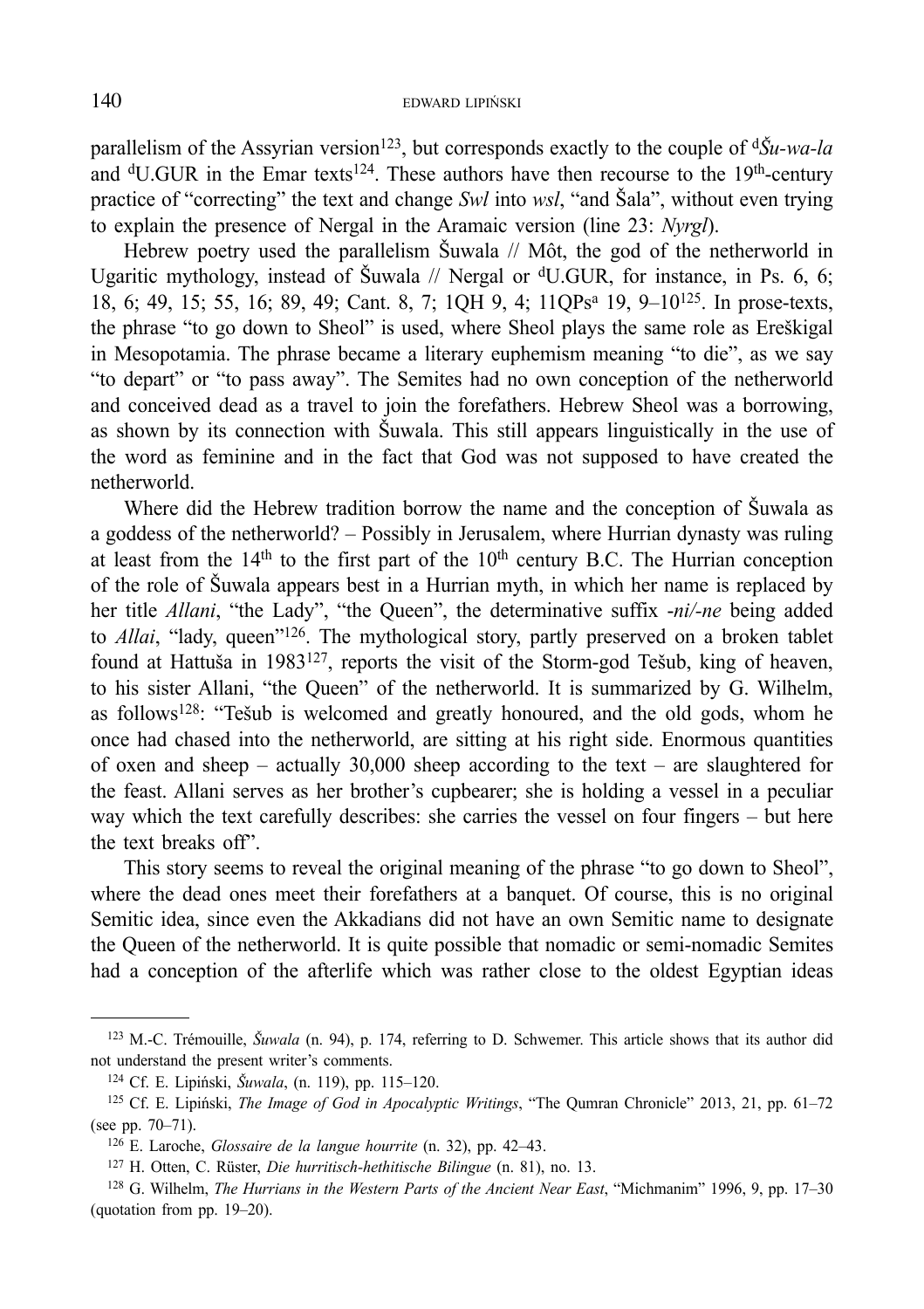parallelism of the Assyrian version<sup>123</sup>, but corresponds exactly to the couple of  $d\tilde{S}u$ -wa-la and  $\rm ^dU.GUR$  in the Emar texts<sup>124</sup>. These authors have then recourse to the 19<sup>th</sup>-century practice of "correcting" the text and change *Swl* into *wsl*, "and Šala", without even trying to explain the presence of Nergal in the Aramaic version (line 23: *Nyrgl*).

Hebrew poetry used the parallelism Šuwala // Môt, the god of the netherworld in Ugaritic mythology, instead of Šuwala // Nergal or <sup>d</sup>U.GUR, for instance, in Ps. 6, 6; 18, 6; 49, 15; 55, 16; 89, 49; Cant. 8, 7; 1QH 9, 4; 11QPsa 19, 9–10125. In prose-texts, the phrase "to go down to Sheol" is used, where Sheol plays the same role as Ereškigal in Mesopotamia. The phrase became a literary euphemism meaning "to die", as we say "to depart" or "to pass away". The Semites had no own conception of the netherworld and conceived dead as a travel to join the forefathers. Hebrew Sheol was a borrowing, as shown by its connection with Šuwala. This still appears linguistically in the use of the word as feminine and in the fact that God was not supposed to have created the netherworld.

Where did the Hebrew tradition borrow the name and the conception of Šuwala as a goddess of the netherworld? – Possibly in Jerusalem, where Hurrian dynasty was ruling at least from the  $14<sup>th</sup>$  to the first part of the  $10<sup>th</sup>$  century B.C. The Hurrian conception of the role of Šuwala appears best in a Hurrian myth, in which her name is replaced by her title *Allani*, "the Lady", "the Queen", the determinative suffix -*ni/-ne* being added to *Allai*, "lady, queen"126. The mythological story, partly preserved on a broken tablet found at Hattuša in 1983127, reports the visit of the Storm-god Tešub, king of heaven, to his sister Allani, "the Queen" of the netherworld. It is summarized by G. Wilhelm, as follows128: "Tešub is welcomed and greatly honoured, and the old gods, whom he once had chased into the netherworld, are sitting at his right side. Enormous quantities of oxen and sheep – actually 30,000 sheep according to the text – are slaughtered for the feast. Allani serves as her brother's cupbearer; she is holding a vessel in a peculiar way which the text carefully describes: she carries the vessel on four fingers – but here the text breaks off".

This story seems to reveal the original meaning of the phrase "to go down to Sheol", where the dead ones meet their forefathers at a banquet. Of course, this is no original Semitic idea, since even the Akkadians did not have an own Semitic name to designate the Queen of the netherworld. It is quite possible that nomadic or semi-nomadic Semites had a conception of the afterlife which was rather close to the oldest Egyptian ideas

<sup>123</sup> M.-C. Trémouille, *Šuwala* (n. 94), p. 174, referring to D. Schwemer. This article shows that its author did not understand the present writer's comments.

<sup>124</sup> Cf. E. Lipiński, *Šuwala*, (n. 119), pp. 115–120.

<sup>125</sup> Cf. E. Lipiński, *The Image of God in Apocalyptic Writings*, "The Qumran Chronicle" 2013, 21, pp. 61–72 (see pp. 70–71).

<sup>126</sup> E. Laroche, *Glossaire de la langue hourrite* (n. 32), pp. 42–43. 127 H. Otten, C. Rüster, *Die hurritisch-hethitische Bilingue* (n. 81), no. 13.

<sup>128</sup> G. Wilhelm, *The Hurrians in the Western Parts of the Ancient Near East*, "Michmanim" 1996, 9, pp. 17–30 (quotation from pp. 19–20).